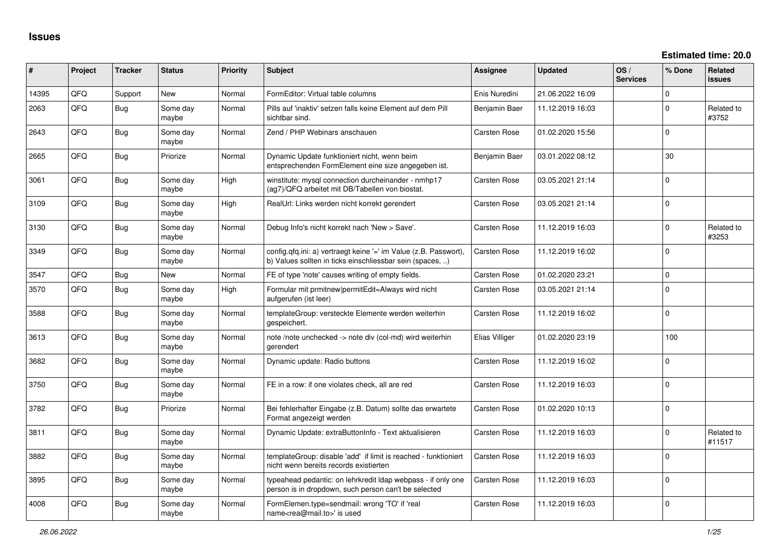**Estimated time: 20.0**

| #     | Project | <b>Tracker</b> | <b>Status</b>     | <b>Priority</b> | <b>Subject</b>                                                                                                                | <b>Assignee</b>     | <b>Updated</b>   | OS/<br><b>Services</b> | % Done       | <b>Related</b><br><b>issues</b> |
|-------|---------|----------------|-------------------|-----------------|-------------------------------------------------------------------------------------------------------------------------------|---------------------|------------------|------------------------|--------------|---------------------------------|
| 14395 | QFQ     | Support        | <b>New</b>        | Normal          | FormEditor: Virtual table columns                                                                                             | Enis Nuredini       | 21.06.2022 16:09 |                        | $\mathbf 0$  |                                 |
| 2063  | QFQ     | <b>Bug</b>     | Some day<br>maybe | Normal          | Pills auf 'inaktiv' setzen falls keine Element auf dem Pill<br>sichtbar sind.                                                 | Benjamin Baer       | 11.12.2019 16:03 |                        | $\mathbf 0$  | Related to<br>#3752             |
| 2643  | QFQ     | <b>Bug</b>     | Some day<br>maybe | Normal          | Zend / PHP Webinars anschauen                                                                                                 | Carsten Rose        | 01.02.2020 15:56 |                        | $\Omega$     |                                 |
| 2665  | QFQ     | <b>Bug</b>     | Priorize          | Normal          | Dynamic Update funktioniert nicht, wenn beim<br>entsprechenden FormElement eine size angegeben ist.                           | Benjamin Baer       | 03.01.2022 08:12 |                        | 30           |                                 |
| 3061  | QFQ     | <b>Bug</b>     | Some day<br>maybe | High            | winstitute: mysql connection durcheinander - nmhp17<br>(ag7)/QFQ arbeitet mit DB/Tabellen von biostat.                        | Carsten Rose        | 03.05.2021 21:14 |                        | $\mathbf{0}$ |                                 |
| 3109  | QFQ     | <b>Bug</b>     | Some day<br>maybe | High            | RealUrl: Links werden nicht korrekt gerendert                                                                                 | Carsten Rose        | 03.05.2021 21:14 |                        | $\mathbf 0$  |                                 |
| 3130  | QFQ     | <b>Bug</b>     | Some day<br>maybe | Normal          | Debug Info's nicht korrekt nach 'New > Save'.                                                                                 | Carsten Rose        | 11.12.2019 16:03 |                        | 0            | Related to<br>#3253             |
| 3349  | QFQ     | <b>Bug</b>     | Some day<br>maybe | Normal          | config.qfq.ini: a) vertraegt keine '=' im Value (z.B. Passwort),<br>b) Values sollten in ticks einschliessbar sein (spaces, ) | Carsten Rose        | 11.12.2019 16:02 |                        | $\mathbf 0$  |                                 |
| 3547  | QFQ     | <b>Bug</b>     | <b>New</b>        | Normal          | FE of type 'note' causes writing of empty fields.                                                                             | <b>Carsten Rose</b> | 01.02.2020 23:21 |                        | 0            |                                 |
| 3570  | QFQ     | <b>Bug</b>     | Some day<br>maybe | High            | Formular mit prmitnew permitEdit=Always wird nicht<br>aufgerufen (ist leer)                                                   | Carsten Rose        | 03.05.2021 21:14 |                        | $\Omega$     |                                 |
| 3588  | QFQ     | <b>Bug</b>     | Some day<br>maybe | Normal          | templateGroup: versteckte Elemente werden weiterhin<br>gespeichert.                                                           | Carsten Rose        | 11.12.2019 16:02 |                        | $\Omega$     |                                 |
| 3613  | QFQ     | <b>Bug</b>     | Some day<br>maybe | Normal          | note /note unchecked -> note div (col-md) wird weiterhin<br>gerendert                                                         | Elias Villiger      | 01.02.2020 23:19 |                        | 100          |                                 |
| 3682  | QFQ     | <b>Bug</b>     | Some day<br>maybe | Normal          | Dynamic update: Radio buttons                                                                                                 | Carsten Rose        | 11.12.2019 16:02 |                        | 0            |                                 |
| 3750  | QFQ     | <b>Bug</b>     | Some day<br>maybe | Normal          | FE in a row: if one violates check, all are red                                                                               | Carsten Rose        | 11.12.2019 16:03 |                        | 0            |                                 |
| 3782  | QFQ     | <b>Bug</b>     | Priorize          | Normal          | Bei fehlerhafter Eingabe (z.B. Datum) sollte das erwartete<br>Format angezeigt werden                                         | Carsten Rose        | 01.02.2020 10:13 |                        | $\mathbf 0$  |                                 |
| 3811  | QFQ     | <b>Bug</b>     | Some day<br>maybe | Normal          | Dynamic Update: extraButtonInfo - Text aktualisieren                                                                          | Carsten Rose        | 11.12.2019 16:03 |                        | $\mathbf 0$  | Related to<br>#11517            |
| 3882  | QFQ     | <b>Bug</b>     | Some day<br>maybe | Normal          | templateGroup: disable 'add' if limit is reached - funktioniert<br>nicht wenn bereits records existierten                     | Carsten Rose        | 11.12.2019 16:03 |                        | 0            |                                 |
| 3895  | QFQ     | <b>Bug</b>     | Some day<br>maybe | Normal          | typeahead pedantic: on lehrkredit Idap webpass - if only one<br>person is in dropdown, such person can't be selected          | Carsten Rose        | 11.12.2019 16:03 |                        | $\Omega$     |                                 |
| 4008  | QFQ     | <b>Bug</b>     | Some day<br>maybe | Normal          | FormElemen.type=sendmail: wrong 'TO' if 'real<br>name <rea@mail.to>' is used</rea@mail.to>                                    | Carsten Rose        | 11.12.2019 16:03 |                        | $\mathbf 0$  |                                 |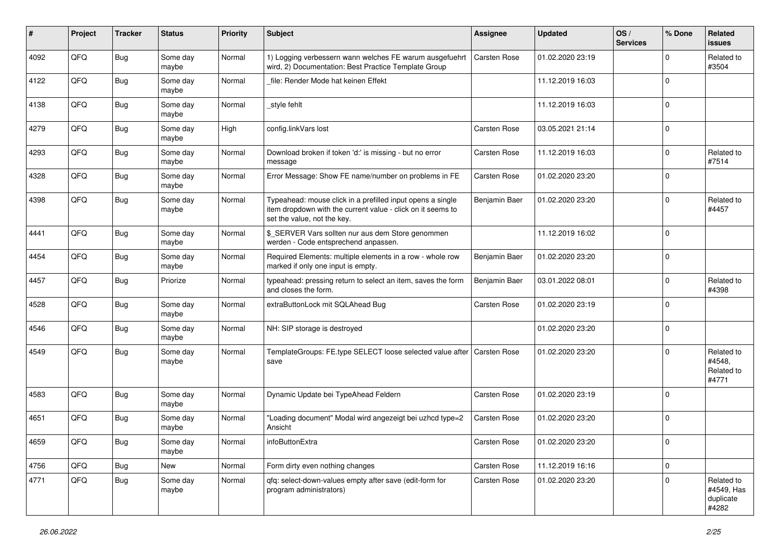| #    | Project | <b>Tracker</b> | <b>Status</b>     | <b>Priority</b> | Subject                                                                                                                                                  | <b>Assignee</b>     | <b>Updated</b>   | OS/<br><b>Services</b> | % Done         | Related<br>issues                              |
|------|---------|----------------|-------------------|-----------------|----------------------------------------------------------------------------------------------------------------------------------------------------------|---------------------|------------------|------------------------|----------------|------------------------------------------------|
| 4092 | QFQ     | Bug            | Some day<br>maybe | Normal          | 1) Logging verbessern wann welches FE warum ausgefuehrt<br>wird, 2) Documentation: Best Practice Template Group                                          | <b>Carsten Rose</b> | 01.02.2020 23:19 |                        | 0              | Related to<br>#3504                            |
| 4122 | QFQ     | Bug            | Some day<br>maybe | Normal          | file: Render Mode hat keinen Effekt                                                                                                                      |                     | 11.12.2019 16:03 |                        | $\mathbf 0$    |                                                |
| 4138 | QFQ     | Bug            | Some day<br>maybe | Normal          | style fehlt                                                                                                                                              |                     | 11.12.2019 16:03 |                        | $\Omega$       |                                                |
| 4279 | QFQ     | Bug            | Some day<br>maybe | High            | config.linkVars lost                                                                                                                                     | Carsten Rose        | 03.05.2021 21:14 |                        | $\Omega$       |                                                |
| 4293 | QFQ     | <b>Bug</b>     | Some day<br>maybe | Normal          | Download broken if token 'd:' is missing - but no error<br>message                                                                                       | Carsten Rose        | 11.12.2019 16:03 |                        | $\mathbf 0$    | Related to<br>#7514                            |
| 4328 | QFQ     | Bug            | Some day<br>maybe | Normal          | Error Message: Show FE name/number on problems in FE                                                                                                     | <b>Carsten Rose</b> | 01.02.2020 23:20 |                        | $\Omega$       |                                                |
| 4398 | QFQ     | Bug            | Some day<br>maybe | Normal          | Typeahead: mouse click in a prefilled input opens a single<br>item dropdown with the current value - click on it seems to<br>set the value, not the key. | Benjamin Baer       | 01.02.2020 23:20 |                        | $\Omega$       | Related to<br>#4457                            |
| 4441 | QFQ     | Bug            | Some day<br>maybe | Normal          | \$_SERVER Vars sollten nur aus dem Store genommen<br>werden - Code entsprechend anpassen.                                                                |                     | 11.12.2019 16:02 |                        | $\Omega$       |                                                |
| 4454 | QFQ     | Bug            | Some day<br>maybe | Normal          | Required Elements: multiple elements in a row - whole row<br>marked if only one input is empty.                                                          | Benjamin Baer       | 01.02.2020 23:20 |                        | $\mathbf 0$    |                                                |
| 4457 | QFQ     | Bug            | Priorize          | Normal          | typeahead: pressing return to select an item, saves the form<br>and closes the form.                                                                     | Benjamin Baer       | 03.01.2022 08:01 |                        | $\mathbf 0$    | Related to<br>#4398                            |
| 4528 | QFQ     | Bug            | Some day<br>maybe | Normal          | extraButtonLock mit SQLAhead Bug                                                                                                                         | Carsten Rose        | 01.02.2020 23:19 |                        | $\Omega$       |                                                |
| 4546 | QFQ     | <b>Bug</b>     | Some day<br>maybe | Normal          | NH: SIP storage is destroyed                                                                                                                             |                     | 01.02.2020 23:20 |                        | $\overline{0}$ |                                                |
| 4549 | QFQ     | <b>Bug</b>     | Some day<br>maybe | Normal          | TemplateGroups: FE.type SELECT loose selected value after   Carsten Rose<br>save                                                                         |                     | 01.02.2020 23:20 |                        | $\Omega$       | Related to<br>#4548,<br>Related to<br>#4771    |
| 4583 | QFQ     | <b>Bug</b>     | Some day<br>maybe | Normal          | Dynamic Update bei TypeAhead Feldern                                                                                                                     | <b>Carsten Rose</b> | 01.02.2020 23:19 |                        | $\Omega$       |                                                |
| 4651 | QFQ     | Bug            | Some day<br>maybe | Normal          | "Loading document" Modal wird angezeigt bei uzhcd type=2<br>Ansicht                                                                                      | Carsten Rose        | 01.02.2020 23:20 |                        | $\Omega$       |                                                |
| 4659 | QFQ     | <b>Bug</b>     | Some day<br>maybe | Normal          | infoButtonExtra                                                                                                                                          | Carsten Rose        | 01.02.2020 23:20 |                        |                |                                                |
| 4756 | QFQ     | <b>Bug</b>     | New               | Normal          | Form dirty even nothing changes                                                                                                                          | Carsten Rose        | 11.12.2019 16:16 |                        | $\overline{0}$ |                                                |
| 4771 | QFQ     | <b>Bug</b>     | Some day<br>maybe | Normal          | qfq: select-down-values empty after save (edit-form for<br>program administrators)                                                                       | Carsten Rose        | 01.02.2020 23:20 |                        | $\mathbf 0$    | Related to<br>#4549, Has<br>duplicate<br>#4282 |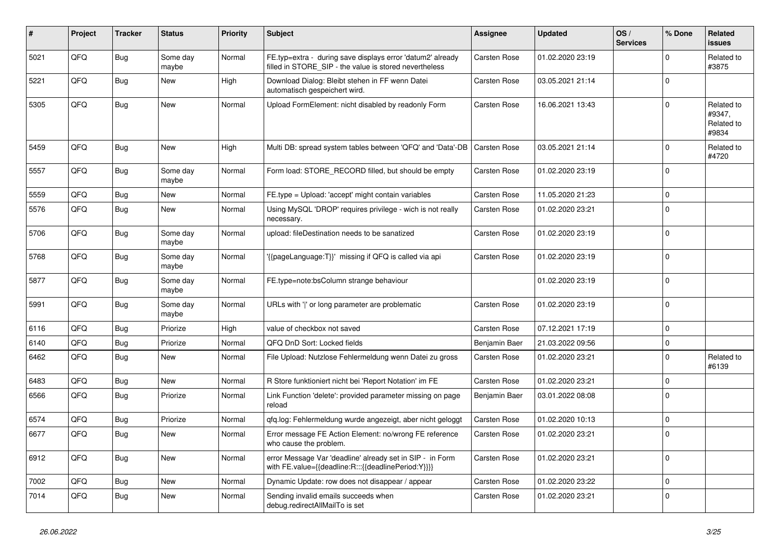| #    | Project | <b>Tracker</b> | <b>Status</b>     | <b>Priority</b> | <b>Subject</b>                                                                                                       | Assignee            | <b>Updated</b>   | OS/<br><b>Services</b> | % Done       | Related<br>issues                           |
|------|---------|----------------|-------------------|-----------------|----------------------------------------------------------------------------------------------------------------------|---------------------|------------------|------------------------|--------------|---------------------------------------------|
| 5021 | QFQ     | Bug            | Some day<br>maybe | Normal          | FE.typ=extra - during save displays error 'datum2' already<br>filled in STORE_SIP - the value is stored nevertheless | Carsten Rose        | 01.02.2020 23:19 |                        | $\mathbf 0$  | Related to<br>#3875                         |
| 5221 | QFQ     | <b>Bug</b>     | New               | High            | Download Dialog: Bleibt stehen in FF wenn Datei<br>automatisch gespeichert wird.                                     | Carsten Rose        | 03.05.2021 21:14 |                        | $\Omega$     |                                             |
| 5305 | QFQ     | Bug            | <b>New</b>        | Normal          | Upload FormElement: nicht disabled by readonly Form                                                                  | Carsten Rose        | 16.06.2021 13:43 |                        | $\Omega$     | Related to<br>#9347,<br>Related to<br>#9834 |
| 5459 | QFQ     | <b>Bug</b>     | <b>New</b>        | High            | Multi DB: spread system tables between 'QFQ' and 'Data'-DB                                                           | <b>Carsten Rose</b> | 03.05.2021 21:14 |                        | $\Omega$     | Related to<br>#4720                         |
| 5557 | QFQ     | <b>Bug</b>     | Some day<br>maybe | Normal          | Form load: STORE_RECORD filled, but should be empty                                                                  | Carsten Rose        | 01.02.2020 23:19 |                        | $\Omega$     |                                             |
| 5559 | QFQ     | Bug            | New               | Normal          | FE.type = Upload: 'accept' might contain variables                                                                   | Carsten Rose        | 11.05.2020 21:23 |                        | $\mathbf 0$  |                                             |
| 5576 | QFQ     | Bug            | <b>New</b>        | Normal          | Using MySQL 'DROP' requires privilege - wich is not really<br>necessary.                                             | Carsten Rose        | 01.02.2020 23:21 |                        | $\mathbf 0$  |                                             |
| 5706 | QFQ     | Bug            | Some day<br>maybe | Normal          | upload: fileDestination needs to be sanatized                                                                        | Carsten Rose        | 01.02.2020 23:19 |                        | $\mathbf 0$  |                                             |
| 5768 | QFQ     | Bug            | Some day<br>maybe | Normal          | {{pageLanguage:T}}' missing if QFQ is called via api                                                                 | Carsten Rose        | 01.02.2020 23:19 |                        | $\Omega$     |                                             |
| 5877 | QFQ     | Bug            | Some day<br>maybe | Normal          | FE.type=note:bsColumn strange behaviour                                                                              |                     | 01.02.2020 23:19 |                        | $\Omega$     |                                             |
| 5991 | QFQ     | <b>Bug</b>     | Some day<br>maybe | Normal          | URLs with ' ' or long parameter are problematic                                                                      | Carsten Rose        | 01.02.2020 23:19 |                        | $\Omega$     |                                             |
| 6116 | QFQ     | Bug            | Priorize          | High            | value of checkbox not saved                                                                                          | Carsten Rose        | 07.12.2021 17:19 |                        | 0            |                                             |
| 6140 | QFQ     | <b>Bug</b>     | Priorize          | Normal          | QFQ DnD Sort: Locked fields                                                                                          | Benjamin Baer       | 21.03.2022 09:56 |                        | $\mathbf 0$  |                                             |
| 6462 | QFQ     | Bug            | <b>New</b>        | Normal          | File Upload: Nutzlose Fehlermeldung wenn Datei zu gross                                                              | Carsten Rose        | 01.02.2020 23:21 |                        | $\Omega$     | Related to<br>#6139                         |
| 6483 | QFQ     | <b>Bug</b>     | <b>New</b>        | Normal          | R Store funktioniert nicht bei 'Report Notation' im FE                                                               | Carsten Rose        | 01.02.2020 23:21 |                        | $\Omega$     |                                             |
| 6566 | QFQ     | <b>Bug</b>     | Priorize          | Normal          | Link Function 'delete': provided parameter missing on page<br>reload                                                 | Benjamin Baer       | 03.01.2022 08:08 |                        | $\Omega$     |                                             |
| 6574 | QFQ     | Bug            | Priorize          | Normal          | gfg.log: Fehlermeldung wurde angezeigt, aber nicht geloggt                                                           | Carsten Rose        | 01.02.2020 10:13 |                        | $\mathbf 0$  |                                             |
| 6677 | QFQ     | Bug            | New               | Normal          | Error message FE Action Element: no/wrong FE reference<br>who cause the problem.                                     | Carsten Rose        | 01.02.2020 23:21 |                        | $\Omega$     |                                             |
| 6912 | QFQ     | Bug            | <b>New</b>        | Normal          | error Message Var 'deadline' already set in SIP - in Form<br>with FE.value={{deadline:R:::{{deadlinePeriod:Y}}}}     | Carsten Rose        | 01.02.2020 23:21 |                        | $\mathbf{0}$ |                                             |
| 7002 | QFQ     | <b>Bug</b>     | New               | Normal          | Dynamic Update: row does not disappear / appear                                                                      | Carsten Rose        | 01.02.2020 23:22 |                        | $\Omega$     |                                             |
| 7014 | QFQ     | Bug            | New               | Normal          | Sending invalid emails succeeds when<br>debug.redirectAllMailTo is set                                               | Carsten Rose        | 01.02.2020 23:21 |                        | $\Omega$     |                                             |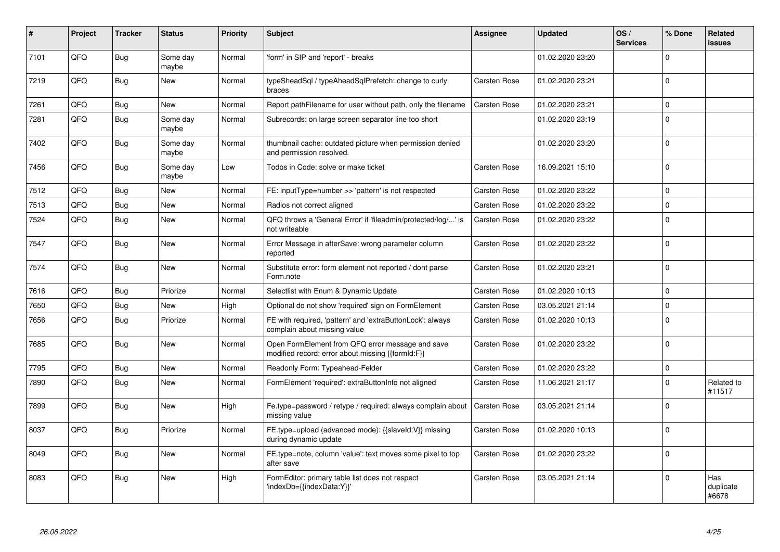| #    | Project | <b>Tracker</b> | <b>Status</b>     | <b>Priority</b> | <b>Subject</b>                                                                                        | Assignee            | <b>Updated</b>   | OS/<br><b>Services</b> | % Done       | Related<br><b>issues</b>  |
|------|---------|----------------|-------------------|-----------------|-------------------------------------------------------------------------------------------------------|---------------------|------------------|------------------------|--------------|---------------------------|
| 7101 | QFQ     | <b>Bug</b>     | Some day<br>maybe | Normal          | 'form' in SIP and 'report' - breaks                                                                   |                     | 01.02.2020 23:20 |                        | $\Omega$     |                           |
| 7219 | QFQ     | Bug            | <b>New</b>        | Normal          | typeSheadSql / typeAheadSqlPrefetch: change to curly<br>braces                                        | Carsten Rose        | 01.02.2020 23:21 |                        | $\mathbf{0}$ |                           |
| 7261 | QFQ     | Bug            | <b>New</b>        | Normal          | Report pathFilename for user without path, only the filename                                          | Carsten Rose        | 01.02.2020 23:21 |                        | $\Omega$     |                           |
| 7281 | QFQ     | Bug            | Some day<br>maybe | Normal          | Subrecords: on large screen separator line too short                                                  |                     | 01.02.2020 23:19 |                        | $\Omega$     |                           |
| 7402 | QFQ     | <b>Bug</b>     | Some day<br>maybe | Normal          | thumbnail cache: outdated picture when permission denied<br>and permission resolved.                  |                     | 01.02.2020 23:20 |                        | $\Omega$     |                           |
| 7456 | QFQ     | <b>Bug</b>     | Some day<br>maybe | Low             | Todos in Code: solve or make ticket                                                                   | Carsten Rose        | 16.09.2021 15:10 |                        | $\Omega$     |                           |
| 7512 | QFQ     | <b>Bug</b>     | <b>New</b>        | Normal          | FE: inputType=number >> 'pattern' is not respected                                                    | <b>Carsten Rose</b> | 01.02.2020 23:22 |                        | $\mathbf{0}$ |                           |
| 7513 | QFQ     | <b>Bug</b>     | <b>New</b>        | Normal          | Radios not correct aligned                                                                            | Carsten Rose        | 01.02.2020 23:22 |                        | $\Omega$     |                           |
| 7524 | QFQ     | Bug            | New               | Normal          | QFQ throws a 'General Error' if 'fileadmin/protected/log/' is<br>not writeable                        | Carsten Rose        | 01.02.2020 23:22 |                        | $\Omega$     |                           |
| 7547 | QFQ     | Bug            | <b>New</b>        | Normal          | Error Message in afterSave: wrong parameter column<br>reported                                        | Carsten Rose        | 01.02.2020 23:22 |                        | $\Omega$     |                           |
| 7574 | QFQ     | Bug            | <b>New</b>        | Normal          | Substitute error: form element not reported / dont parse<br>Form.note                                 | Carsten Rose        | 01.02.2020 23:21 |                        | $\Omega$     |                           |
| 7616 | QFQ     | Bug            | Priorize          | Normal          | Selectlist with Enum & Dynamic Update                                                                 | Carsten Rose        | 01.02.2020 10:13 |                        | $\Omega$     |                           |
| 7650 | QFQ     | Bug            | <b>New</b>        | High            | Optional do not show 'required' sign on FormElement                                                   | Carsten Rose        | 03.05.2021 21:14 |                        | $\mathbf 0$  |                           |
| 7656 | QFQ     | Bug            | Priorize          | Normal          | FE with required, 'pattern' and 'extraButtonLock': always<br>complain about missing value             | Carsten Rose        | 01.02.2020 10:13 |                        | $\Omega$     |                           |
| 7685 | QFQ     | <b>Bug</b>     | <b>New</b>        | Normal          | Open FormElement from QFQ error message and save<br>modified record: error about missing {{formId:F}} | Carsten Rose        | 01.02.2020 23:22 |                        | $\Omega$     |                           |
| 7795 | QFQ     | <b>Bug</b>     | <b>New</b>        | Normal          | Readonly Form: Typeahead-Felder                                                                       | <b>Carsten Rose</b> | 01.02.2020 23:22 |                        | $\mathbf 0$  |                           |
| 7890 | QFQ     | Bug            | New               | Normal          | FormElement 'required': extraButtonInfo not aligned                                                   | Carsten Rose        | 11.06.2021 21:17 |                        | $\mathbf 0$  | Related to<br>#11517      |
| 7899 | QFQ     | Bug            | New               | High            | Fe.type=password / retype / required: always complain about<br>missing value                          | Carsten Rose        | 03.05.2021 21:14 |                        | $\mathbf 0$  |                           |
| 8037 | QFQ     | Bug            | Priorize          | Normal          | FE.type=upload (advanced mode): {{slaveId:V}} missing<br>during dynamic update                        | Carsten Rose        | 01.02.2020 10:13 |                        | $\Omega$     |                           |
| 8049 | QFQ     | <b>Bug</b>     | <b>New</b>        | Normal          | FE.type=note, column 'value': text moves some pixel to top<br>after save                              | Carsten Rose        | 01.02.2020 23:22 |                        | $\Omega$     |                           |
| 8083 | QFQ     | Bug            | <b>New</b>        | High            | FormEditor: primary table list does not respect<br>'indexDb={{indexData:Y}}'                          | Carsten Rose        | 03.05.2021 21:14 |                        | $\Omega$     | Has<br>duplicate<br>#6678 |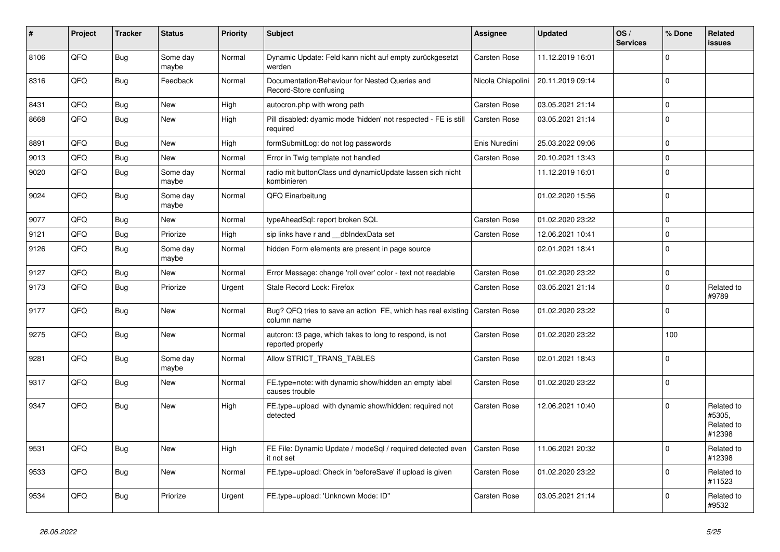| $\vert$ # | Project | <b>Tracker</b> | <b>Status</b>     | <b>Priority</b> | <b>Subject</b>                                                                           | <b>Assignee</b>     | <b>Updated</b>   | OS/<br><b>Services</b> | % Done       | Related<br><b>issues</b>                     |
|-----------|---------|----------------|-------------------|-----------------|------------------------------------------------------------------------------------------|---------------------|------------------|------------------------|--------------|----------------------------------------------|
| 8106      | QFQ     | <b>Bug</b>     | Some day<br>maybe | Normal          | Dynamic Update: Feld kann nicht auf empty zurückgesetzt<br>werden                        | <b>Carsten Rose</b> | 11.12.2019 16:01 |                        | $\Omega$     |                                              |
| 8316      | QFQ     | Bug            | Feedback          | Normal          | Documentation/Behaviour for Nested Queries and<br>Record-Store confusing                 | Nicola Chiapolini   | 20.11.2019 09:14 |                        | $\mathbf{0}$ |                                              |
| 8431      | QFQ     | <b>Bug</b>     | New               | High            | autocron.php with wrong path                                                             | Carsten Rose        | 03.05.2021 21:14 |                        | $\mathbf 0$  |                                              |
| 8668      | QFQ     | <b>Bug</b>     | New               | High            | Pill disabled: dyamic mode 'hidden' not respected - FE is still<br>required              | Carsten Rose        | 03.05.2021 21:14 |                        | $\Omega$     |                                              |
| 8891      | QFQ     | <b>Bug</b>     | New               | High            | formSubmitLog: do not log passwords                                                      | Enis Nuredini       | 25.03.2022 09:06 |                        | $\Omega$     |                                              |
| 9013      | QFQ     | <b>Bug</b>     | New               | Normal          | Error in Twig template not handled                                                       | <b>Carsten Rose</b> | 20.10.2021 13:43 |                        | $\pmb{0}$    |                                              |
| 9020      | QFQ     | Bug            | Some day<br>maybe | Normal          | radio mit buttonClass und dynamicUpdate lassen sich nicht<br>kombinieren                 |                     | 11.12.2019 16:01 |                        | $\Omega$     |                                              |
| 9024      | QFQ     | <b>Bug</b>     | Some day<br>maybe | Normal          | QFQ Einarbeitung                                                                         |                     | 01.02.2020 15:56 |                        | $\Omega$     |                                              |
| 9077      | QFQ     | Bug            | New               | Normal          | typeAheadSql: report broken SQL                                                          | Carsten Rose        | 01.02.2020 23:22 |                        | $\Omega$     |                                              |
| 9121      | QFQ     | Bug            | Priorize          | High            | sip links have r and __dbIndexData set                                                   | Carsten Rose        | 12.06.2021 10:41 |                        | $\Omega$     |                                              |
| 9126      | QFQ     | <b>Bug</b>     | Some day<br>maybe | Normal          | hidden Form elements are present in page source                                          |                     | 02.01.2021 18:41 |                        | $\Omega$     |                                              |
| 9127      | QFQ     | <b>Bug</b>     | New               | Normal          | Error Message: change 'roll over' color - text not readable                              | Carsten Rose        | 01.02.2020 23:22 |                        | $\mathbf{0}$ |                                              |
| 9173      | QFQ     | <b>Bug</b>     | Priorize          | Urgent          | Stale Record Lock: Firefox                                                               | <b>Carsten Rose</b> | 03.05.2021 21:14 |                        | $\Omega$     | Related to<br>#9789                          |
| 9177      | QFQ     | Bug            | New               | Normal          | Bug? QFQ tries to save an action FE, which has real existing Carsten Rose<br>column name |                     | 01.02.2020 23:22 |                        | $\Omega$     |                                              |
| 9275      | QFQ     | <b>Bug</b>     | New               | Normal          | autcron: t3 page, which takes to long to respond, is not<br>reported properly            | Carsten Rose        | 01.02.2020 23:22 |                        | 100          |                                              |
| 9281      | QFQ     | Bug            | Some day<br>maybe | Normal          | Allow STRICT_TRANS_TABLES                                                                | Carsten Rose        | 02.01.2021 18:43 |                        | $\Omega$     |                                              |
| 9317      | QFQ     | Bug            | <b>New</b>        | Normal          | FE.type=note: with dynamic show/hidden an empty label<br>causes trouble                  | Carsten Rose        | 01.02.2020 23:22 |                        | $\Omega$     |                                              |
| 9347      | QFQ     | Bug            | New               | High            | FE.type=upload with dynamic show/hidden: required not<br>detected                        | Carsten Rose        | 12.06.2021 10:40 |                        | $\Omega$     | Related to<br>#5305,<br>Related to<br>#12398 |
| 9531      | QFQ     | Bug            | New               | High            | FE File: Dynamic Update / modeSql / required detected even<br>it not set                 | <b>Carsten Rose</b> | 11.06.2021 20:32 |                        | $\Omega$     | Related to<br>#12398                         |
| 9533      | QFQ     | Bug            | New               | Normal          | FE.type=upload: Check in 'beforeSave' if upload is given                                 | <b>Carsten Rose</b> | 01.02.2020 23:22 |                        | $\Omega$     | Related to<br>#11523                         |
| 9534      | QFQ     | <b>Bug</b>     | Priorize          | Urgent          | FE.type=upload: 'Unknown Mode: ID"                                                       | Carsten Rose        | 03.05.2021 21:14 |                        | $\Omega$     | Related to<br>#9532                          |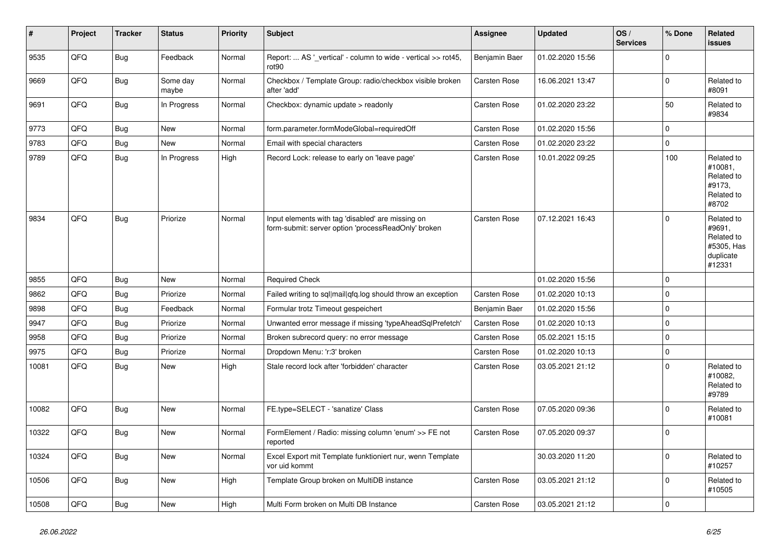| #     | Project | <b>Tracker</b> | <b>Status</b>     | <b>Priority</b> | <b>Subject</b>                                                                                           | <b>Assignee</b>     | <b>Updated</b>   | OS/<br><b>Services</b> | % Done      | Related<br><b>issues</b>                                                |
|-------|---------|----------------|-------------------|-----------------|----------------------------------------------------------------------------------------------------------|---------------------|------------------|------------------------|-------------|-------------------------------------------------------------------------|
| 9535  | QFQ     | <b>Bug</b>     | Feedback          | Normal          | Report:  AS '_vertical' - column to wide - vertical >> rot45,<br>rot90                                   | Benjamin Baer       | 01.02.2020 15:56 |                        | $\Omega$    |                                                                         |
| 9669  | QFQ     | Bug            | Some day<br>maybe | Normal          | Checkbox / Template Group: radio/checkbox visible broken<br>after 'add'                                  | Carsten Rose        | 16.06.2021 13:47 |                        | $\mathbf 0$ | Related to<br>#8091                                                     |
| 9691  | QFQ     | <b>Bug</b>     | In Progress       | Normal          | Checkbox: dynamic update > readonly                                                                      | Carsten Rose        | 01.02.2020 23:22 |                        | 50          | Related to<br>#9834                                                     |
| 9773  | QFQ     | <b>Bug</b>     | <b>New</b>        | Normal          | form.parameter.formModeGlobal=requiredOff                                                                | Carsten Rose        | 01.02.2020 15:56 |                        | $\Omega$    |                                                                         |
| 9783  | QFQ     | <b>Bug</b>     | <b>New</b>        | Normal          | Email with special characters                                                                            | Carsten Rose        | 01.02.2020 23:22 |                        | $\Omega$    |                                                                         |
| 9789  | QFQ     | <b>Bug</b>     | In Progress       | High            | Record Lock: release to early on 'leave page'                                                            | <b>Carsten Rose</b> | 10.01.2022 09:25 |                        | 100         | Related to<br>#10081.<br>Related to<br>#9173,<br>Related to<br>#8702    |
| 9834  | QFQ     | <b>Bug</b>     | Priorize          | Normal          | Input elements with tag 'disabled' are missing on<br>form-submit: server option 'processReadOnly' broken | Carsten Rose        | 07.12.2021 16:43 |                        | $\Omega$    | Related to<br>#9691,<br>Related to<br>#5305, Has<br>duplicate<br>#12331 |
| 9855  | QFQ     | <b>Bug</b>     | <b>New</b>        | Normal          | <b>Required Check</b>                                                                                    |                     | 01.02.2020 15:56 |                        | $\Omega$    |                                                                         |
| 9862  | QFQ     | <b>Bug</b>     | Priorize          | Normal          | Failed writing to sql mail qfq.log should throw an exception                                             | <b>Carsten Rose</b> | 01.02.2020 10:13 |                        | $\Omega$    |                                                                         |
| 9898  | QFQ     | <b>Bug</b>     | Feedback          | Normal          | Formular trotz Timeout gespeichert                                                                       | Benjamin Baer       | 01.02.2020 15:56 |                        | $\Omega$    |                                                                         |
| 9947  | QFQ     | <b>Bug</b>     | Priorize          | Normal          | Unwanted error message if missing 'typeAheadSqlPrefetch'                                                 | <b>Carsten Rose</b> | 01.02.2020 10:13 |                        | $\Omega$    |                                                                         |
| 9958  | QFQ     | <b>Bug</b>     | Priorize          | Normal          | Broken subrecord query: no error message                                                                 | Carsten Rose        | 05.02.2021 15:15 |                        | $\Omega$    |                                                                         |
| 9975  | QFQ     | <b>Bug</b>     | Priorize          | Normal          | Dropdown Menu: 'r:3' broken                                                                              | Carsten Rose        | 01.02.2020 10:13 |                        | $\mathbf 0$ |                                                                         |
| 10081 | QFQ     | <b>Bug</b>     | <b>New</b>        | High            | Stale record lock after 'forbidden' character                                                            | Carsten Rose        | 03.05.2021 21:12 |                        | $\Omega$    | Related to<br>#10082,<br>Related to<br>#9789                            |
| 10082 | QFQ     | <b>Bug</b>     | <b>New</b>        | Normal          | FE.type=SELECT - 'sanatize' Class                                                                        | Carsten Rose        | 07.05.2020 09:36 |                        | $\Omega$    | Related to<br>#10081                                                    |
| 10322 | QFQ     | <b>Bug</b>     | New               | Normal          | FormElement / Radio: missing column 'enum' >> FE not<br>reported                                         | Carsten Rose        | 07.05.2020 09:37 |                        | $\Omega$    |                                                                         |
| 10324 | QFQ     | <b>Bug</b>     | New               | Normal          | Excel Export mit Template funktioniert nur, wenn Template<br>vor uid kommt                               |                     | 30.03.2020 11:20 |                        | $\Omega$    | Related to<br>#10257                                                    |
| 10506 | QFQ     | Bug            | <b>New</b>        | High            | Template Group broken on MultiDB instance                                                                | Carsten Rose        | 03.05.2021 21:12 |                        | $\Omega$    | Related to<br>#10505                                                    |
| 10508 | QFQ     | Bug            | New               | High            | Multi Form broken on Multi DB Instance                                                                   | Carsten Rose        | 03.05.2021 21:12 |                        | $\mathbf 0$ |                                                                         |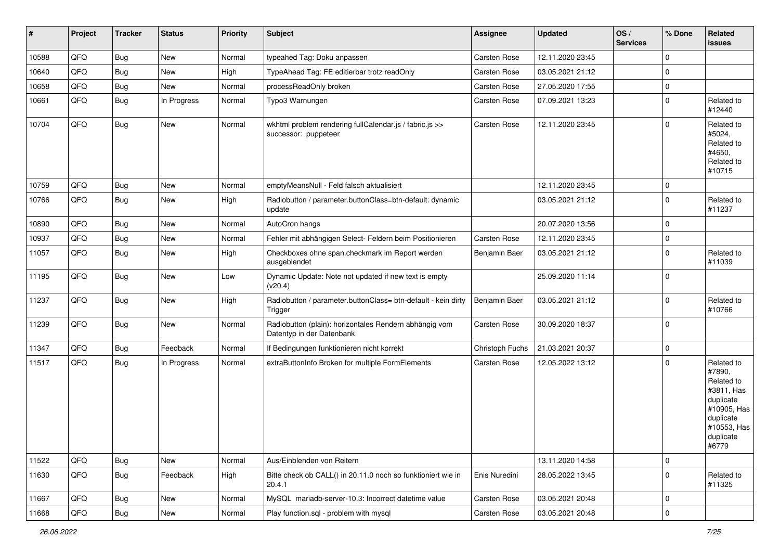| #     | Project | <b>Tracker</b> | <b>Status</b> | <b>Priority</b> | <b>Subject</b>                                                                      | Assignee            | <b>Updated</b>   | OS/<br><b>Services</b> | % Done         | Related<br><b>issues</b>                                                                                                       |
|-------|---------|----------------|---------------|-----------------|-------------------------------------------------------------------------------------|---------------------|------------------|------------------------|----------------|--------------------------------------------------------------------------------------------------------------------------------|
| 10588 | QFQ     | Bug            | New           | Normal          | typeahed Tag: Doku anpassen                                                         | Carsten Rose        | 12.11.2020 23:45 |                        | $\Omega$       |                                                                                                                                |
| 10640 | QFQ     | Bug            | New           | High            | TypeAhead Tag: FE editierbar trotz readOnly                                         | <b>Carsten Rose</b> | 03.05.2021 21:12 |                        | $\mathbf 0$    |                                                                                                                                |
| 10658 | QFQ     | <b>Bug</b>     | New           | Normal          | processReadOnly broken                                                              | Carsten Rose        | 27.05.2020 17:55 |                        | $\Omega$       |                                                                                                                                |
| 10661 | QFQ     | Bug            | In Progress   | Normal          | Typo3 Warnungen                                                                     | Carsten Rose        | 07.09.2021 13:23 |                        | $\Omega$       | Related to<br>#12440                                                                                                           |
| 10704 | QFQ     | Bug            | New           | Normal          | wkhtml problem rendering fullCalendar.js / fabric.js >><br>successor: puppeteer     | <b>Carsten Rose</b> | 12.11.2020 23:45 |                        | $\mathbf 0$    | Related to<br>#5024,<br>Related to<br>#4650,<br>Related to<br>#10715                                                           |
| 10759 | QFQ     | <b>Bug</b>     | New           | Normal          | emptyMeansNull - Feld falsch aktualisiert                                           |                     | 12.11.2020 23:45 |                        | $\mathbf 0$    |                                                                                                                                |
| 10766 | QFQ     | Bug            | New           | High            | Radiobutton / parameter.buttonClass=btn-default: dynamic<br>update                  |                     | 03.05.2021 21:12 |                        | $\mathbf 0$    | Related to<br>#11237                                                                                                           |
| 10890 | QFQ     | Bug            | <b>New</b>    | Normal          | AutoCron hangs                                                                      |                     | 20.07.2020 13:56 |                        | $\mathbf 0$    |                                                                                                                                |
| 10937 | QFQ     | Bug            | New           | Normal          | Fehler mit abhängigen Select- Feldern beim Positionieren                            | <b>Carsten Rose</b> | 12.11.2020 23:45 |                        | $\mathbf 0$    |                                                                                                                                |
| 11057 | QFQ     | <b>Bug</b>     | New           | High            | Checkboxes ohne span.checkmark im Report werden<br>ausgeblendet                     | Benjamin Baer       | 03.05.2021 21:12 |                        | $\mathbf 0$    | Related to<br>#11039                                                                                                           |
| 11195 | QFQ     | Bug            | New           | Low             | Dynamic Update: Note not updated if new text is empty<br>(v20.4)                    |                     | 25.09.2020 11:14 |                        | $\mathbf 0$    |                                                                                                                                |
| 11237 | QFQ     | <b>Bug</b>     | New           | High            | Radiobutton / parameter.buttonClass= btn-default - kein dirty<br>Trigger            | Benjamin Baer       | 03.05.2021 21:12 |                        | $\mathbf 0$    | Related to<br>#10766                                                                                                           |
| 11239 | QFQ     | Bug            | New           | Normal          | Radiobutton (plain): horizontales Rendern abhängig vom<br>Datentyp in der Datenbank | <b>Carsten Rose</b> | 30.09.2020 18:37 |                        | $\overline{0}$ |                                                                                                                                |
| 11347 | QFQ     | <b>Bug</b>     | Feedback      | Normal          | If Bedingungen funktionieren nicht korrekt                                          | Christoph Fuchs     | 21.03.2021 20:37 |                        | $\mathbf 0$    |                                                                                                                                |
| 11517 | QFQ     | <b>Bug</b>     | In Progress   | Normal          | extraButtonInfo Broken for multiple FormElements                                    | Carsten Rose        | 12.05.2022 13:12 |                        | $\Omega$       | Related to<br>#7890,<br>Related to<br>#3811, Has<br>duplicate<br>#10905, Has<br>duplicate<br>#10553, Has<br>duplicate<br>#6779 |
| 11522 | QFQ     | Bug            | New           | Normal          | Aus/Einblenden von Reitern                                                          |                     | 13.11.2020 14:58 |                        | $\mathbf 0$    |                                                                                                                                |
| 11630 | QFQ     | Bug            | Feedback      | High            | Bitte check ob CALL() in 20.11.0 noch so funktioniert wie in<br>20.4.1              | Enis Nuredini       | 28.05.2022 13:45 |                        | $\mathbf 0$    | Related to<br>#11325                                                                                                           |
| 11667 | QFQ     | <b>Bug</b>     | New           | Normal          | MySQL mariadb-server-10.3: Incorrect datetime value                                 | Carsten Rose        | 03.05.2021 20:48 |                        | 0              |                                                                                                                                |
| 11668 | QFQ     | Bug            | New           | Normal          | Play function.sql - problem with mysql                                              | Carsten Rose        | 03.05.2021 20:48 |                        | $\mathbf 0$    |                                                                                                                                |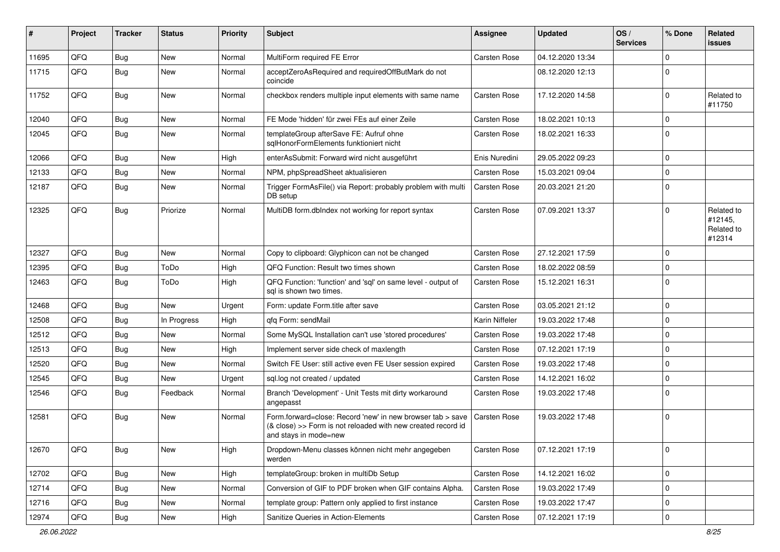| #     | Project | <b>Tracker</b> | <b>Status</b> | <b>Priority</b> | <b>Subject</b>                                                                                                                                      | <b>Assignee</b> | <b>Updated</b>   | OS/<br><b>Services</b> | % Done       | Related<br>issues                             |
|-------|---------|----------------|---------------|-----------------|-----------------------------------------------------------------------------------------------------------------------------------------------------|-----------------|------------------|------------------------|--------------|-----------------------------------------------|
| 11695 | QFQ     | Bug            | <b>New</b>    | Normal          | MultiForm required FE Error                                                                                                                         | Carsten Rose    | 04.12.2020 13:34 |                        | $\mathbf{0}$ |                                               |
| 11715 | QFQ     | Bug            | New           | Normal          | acceptZeroAsRequired and requiredOffButMark do not<br>coincide                                                                                      |                 | 08.12.2020 12:13 |                        | $\mathbf 0$  |                                               |
| 11752 | QFQ     | Bug            | New           | Normal          | checkbox renders multiple input elements with same name                                                                                             | Carsten Rose    | 17.12.2020 14:58 |                        | $\mathbf 0$  | Related to<br>#11750                          |
| 12040 | QFQ     | Bug            | <b>New</b>    | Normal          | FE Mode 'hidden' für zwei FEs auf einer Zeile                                                                                                       | Carsten Rose    | 18.02.2021 10:13 |                        | $\mathbf 0$  |                                               |
| 12045 | QFQ     | Bug            | New           | Normal          | templateGroup afterSave FE: Aufruf ohne<br>sqlHonorFormElements funktioniert nicht                                                                  | Carsten Rose    | 18.02.2021 16:33 |                        | $\mathbf 0$  |                                               |
| 12066 | QFQ     | <b>Bug</b>     | <b>New</b>    | High            | enterAsSubmit: Forward wird nicht ausgeführt                                                                                                        | Enis Nuredini   | 29.05.2022 09:23 |                        | $\mathbf 0$  |                                               |
| 12133 | QFQ     | Bug            | New           | Normal          | NPM, phpSpreadSheet aktualisieren                                                                                                                   | Carsten Rose    | 15.03.2021 09:04 |                        | $\mathbf 0$  |                                               |
| 12187 | QFQ     | <b>Bug</b>     | New           | Normal          | Trigger FormAsFile() via Report: probably problem with multi<br>DB setup                                                                            | Carsten Rose    | 20.03.2021 21:20 |                        | $\mathbf 0$  |                                               |
| 12325 | QFQ     | Bug            | Priorize      | Normal          | MultiDB form.dblndex not working for report syntax                                                                                                  | Carsten Rose    | 07.09.2021 13:37 |                        | $\Omega$     | Related to<br>#12145,<br>Related to<br>#12314 |
| 12327 | QFQ     | Bug            | <b>New</b>    | Normal          | Copy to clipboard: Glyphicon can not be changed                                                                                                     | Carsten Rose    | 27.12.2021 17:59 |                        | $\mathbf 0$  |                                               |
| 12395 | QFQ     | Bug            | ToDo          | High            | QFQ Function: Result two times shown                                                                                                                | Carsten Rose    | 18.02.2022 08:59 |                        | $\mathbf 0$  |                                               |
| 12463 | QFQ     | Bug            | ToDo          | High            | QFQ Function: 'function' and 'sql' on same level - output of<br>sal is shown two times.                                                             | Carsten Rose    | 15.12.2021 16:31 |                        | $\mathbf 0$  |                                               |
| 12468 | QFQ     | Bug            | New           | Urgent          | Form: update Form.title after save                                                                                                                  | Carsten Rose    | 03.05.2021 21:12 |                        | $\mathbf 0$  |                                               |
| 12508 | QFQ     | <b>Bug</b>     | In Progress   | High            | qfq Form: sendMail                                                                                                                                  | Karin Niffeler  | 19.03.2022 17:48 |                        | $\mathbf 0$  |                                               |
| 12512 | QFQ     | <b>Bug</b>     | <b>New</b>    | Normal          | Some MySQL Installation can't use 'stored procedures'                                                                                               | Carsten Rose    | 19.03.2022 17:48 |                        | $\mathbf 0$  |                                               |
| 12513 | QFQ     | Bug            | New           | High            | Implement server side check of maxlength                                                                                                            | Carsten Rose    | 07.12.2021 17:19 |                        | $\mathbf 0$  |                                               |
| 12520 | QFQ     | Bug            | <b>New</b>    | Normal          | Switch FE User: still active even FE User session expired                                                                                           | Carsten Rose    | 19.03.2022 17:48 |                        | $\mathbf 0$  |                                               |
| 12545 | QFQ     | Bug            | New           | Urgent          | sql.log not created / updated                                                                                                                       | Carsten Rose    | 14.12.2021 16:02 |                        | 0            |                                               |
| 12546 | QFQ     | <b>Bug</b>     | Feedback      | Normal          | Branch 'Development' - Unit Tests mit dirty workaround<br>angepasst                                                                                 | Carsten Rose    | 19.03.2022 17:48 |                        | $\mathbf 0$  |                                               |
| 12581 | QFQ     | <b>Bug</b>     | New           | Normal          | Form.forward=close: Record 'new' in new browser tab > save<br>(& close) >> Form is not reloaded with new created record id<br>and stays in mode=new | Carsten Rose    | 19.03.2022 17:48 |                        | $\Omega$     |                                               |
| 12670 | QFQ     | <b>Bug</b>     | New           | High            | Dropdown-Menu classes können nicht mehr angegeben<br>werden                                                                                         | Carsten Rose    | 07.12.2021 17:19 |                        | $\mathbf 0$  |                                               |
| 12702 | QFQ     | Bug            | New           | High            | templateGroup: broken in multiDb Setup                                                                                                              | Carsten Rose    | 14.12.2021 16:02 |                        | 0            |                                               |
| 12714 | QFQ     | <b>Bug</b>     | New           | Normal          | Conversion of GIF to PDF broken when GIF contains Alpha.                                                                                            | Carsten Rose    | 19.03.2022 17:49 |                        | 0            |                                               |
| 12716 | QFQ     | <b>Bug</b>     | New           | Normal          | template group: Pattern only applied to first instance                                                                                              | Carsten Rose    | 19.03.2022 17:47 |                        | 0            |                                               |
| 12974 | QFQ     | <b>Bug</b>     | New           | High            | Sanitize Queries in Action-Elements                                                                                                                 | Carsten Rose    | 07.12.2021 17:19 |                        | 0            |                                               |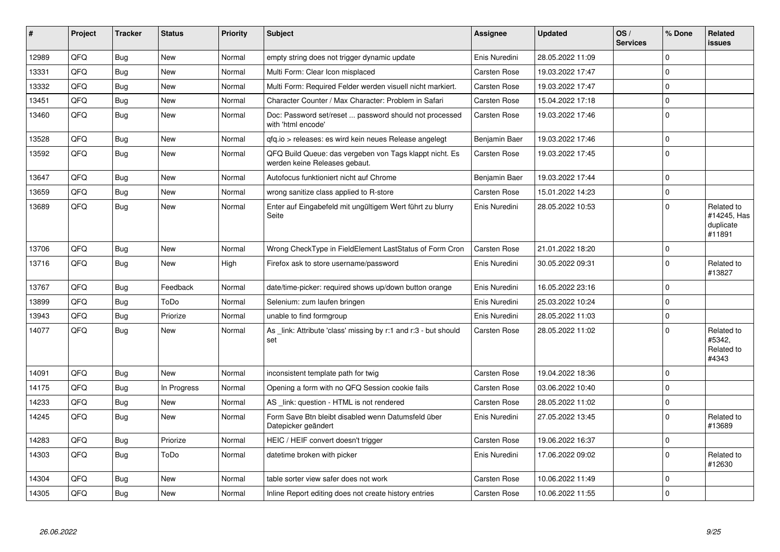| #     | Project | <b>Tracker</b> | <b>Status</b> | <b>Priority</b> | <b>Subject</b>                                                                           | Assignee            | <b>Updated</b>   | OS/<br><b>Services</b> | % Done      | Related<br>issues                                |
|-------|---------|----------------|---------------|-----------------|------------------------------------------------------------------------------------------|---------------------|------------------|------------------------|-------------|--------------------------------------------------|
| 12989 | QFQ     | <b>Bug</b>     | <b>New</b>    | Normal          | empty string does not trigger dynamic update                                             | Enis Nuredini       | 28.05.2022 11:09 |                        | $\Omega$    |                                                  |
| 13331 | QFQ     | Bug            | New           | Normal          | Multi Form: Clear Icon misplaced                                                         | Carsten Rose        | 19.03.2022 17:47 |                        | $\Omega$    |                                                  |
| 13332 | QFQ     | Bug            | New           | Normal          | Multi Form: Required Felder werden visuell nicht markiert.                               | <b>Carsten Rose</b> | 19.03.2022 17:47 |                        | $\mathbf 0$ |                                                  |
| 13451 | QFQ     | Bug            | <b>New</b>    | Normal          | Character Counter / Max Character: Problem in Safari                                     | <b>Carsten Rose</b> | 15.04.2022 17:18 |                        | $\mathbf 0$ |                                                  |
| 13460 | QFQ     | <b>Bug</b>     | <b>New</b>    | Normal          | Doc: Password set/reset  password should not processed<br>with 'html encode'             | Carsten Rose        | 19.03.2022 17:46 |                        | $\Omega$    |                                                  |
| 13528 | QFQ     | Bug            | <b>New</b>    | Normal          | gfg.io > releases: es wird kein neues Release angelegt                                   | Benjamin Baer       | 19.03.2022 17:46 |                        | $\mathbf 0$ |                                                  |
| 13592 | QFQ     | Bug            | <b>New</b>    | Normal          | QFQ Build Queue: das vergeben von Tags klappt nicht. Es<br>werden keine Releases gebaut. | Carsten Rose        | 19.03.2022 17:45 |                        | $\Omega$    |                                                  |
| 13647 | QFQ     | Bug            | <b>New</b>    | Normal          | Autofocus funktioniert nicht auf Chrome                                                  | Benjamin Baer       | 19.03.2022 17:44 |                        | 0           |                                                  |
| 13659 | QFQ     | <b>Bug</b>     | <b>New</b>    | Normal          | wrong sanitize class applied to R-store                                                  | Carsten Rose        | 15.01.2022 14:23 |                        | $\Omega$    |                                                  |
| 13689 | QFQ     | Bug            | New           | Normal          | Enter auf Eingabefeld mit ungültigem Wert führt zu blurry<br>Seite                       | Enis Nuredini       | 28.05.2022 10:53 |                        | $\Omega$    | Related to<br>#14245, Has<br>duplicate<br>#11891 |
| 13706 | QFQ     | Bug            | <b>New</b>    | Normal          | Wrong CheckType in FieldElement LastStatus of Form Cron                                  | <b>Carsten Rose</b> | 21.01.2022 18:20 |                        | $\mathbf 0$ |                                                  |
| 13716 | QFQ     | Bug            | New           | High            | Firefox ask to store username/password                                                   | Enis Nuredini       | 30.05.2022 09:31 |                        | l 0         | Related to<br>#13827                             |
| 13767 | QFQ     | <b>Bug</b>     | Feedback      | Normal          | date/time-picker: required shows up/down button orange                                   | Enis Nuredini       | 16.05.2022 23:16 |                        | $\mathbf 0$ |                                                  |
| 13899 | QFQ     | Bug            | ToDo          | Normal          | Selenium: zum laufen bringen                                                             | Enis Nuredini       | 25.03.2022 10:24 |                        | $\Omega$    |                                                  |
| 13943 | QFQ     | Bug            | Priorize      | Normal          | unable to find formgroup                                                                 | Enis Nuredini       | 28.05.2022 11:03 |                        | $\Omega$    |                                                  |
| 14077 | QFQ     | Bug            | New           | Normal          | As _link: Attribute 'class' missing by r:1 and r:3 - but should<br>set                   | <b>Carsten Rose</b> | 28.05.2022 11:02 |                        | $\Omega$    | Related to<br>#5342,<br>Related to<br>#4343      |
| 14091 | QFQ     | <b>Bug</b>     | <b>New</b>    | Normal          | inconsistent template path for twig                                                      | <b>Carsten Rose</b> | 19.04.2022 18:36 |                        | $\mathbf 0$ |                                                  |
| 14175 | QFQ     | Bug            | In Progress   | Normal          | Opening a form with no QFQ Session cookie fails                                          | Carsten Rose        | 03.06.2022 10:40 |                        | $\Omega$    |                                                  |
| 14233 | QFQ     | <b>Bug</b>     | New           | Normal          | AS link: question - HTML is not rendered                                                 | <b>Carsten Rose</b> | 28.05.2022 11:02 |                        | $\Omega$    |                                                  |
| 14245 | QFQ     | Bug            | New           | Normal          | Form Save Btn bleibt disabled wenn Datumsfeld über<br>Datepicker geändert                | Enis Nuredini       | 27.05.2022 13:45 |                        | $\mathbf 0$ | Related to<br>#13689                             |
| 14283 | QFQ     | Bug            | Priorize      | Normal          | HEIC / HEIF convert doesn't trigger                                                      | <b>Carsten Rose</b> | 19.06.2022 16:37 |                        | $\mathbf 0$ |                                                  |
| 14303 | QFQ     | Bug            | ToDo          | Normal          | datetime broken with picker                                                              | Enis Nuredini       | 17.06.2022 09:02 |                        | $\Omega$    | Related to<br>#12630                             |
| 14304 | QFQ     | <b>Bug</b>     | New           | Normal          | table sorter view safer does not work                                                    | <b>Carsten Rose</b> | 10.06.2022 11:49 |                        | $\mathbf 0$ |                                                  |
| 14305 | QFQ     | Bug            | New           | Normal          | Inline Report editing does not create history entries                                    | <b>Carsten Rose</b> | 10.06.2022 11:55 |                        | $\Omega$    |                                                  |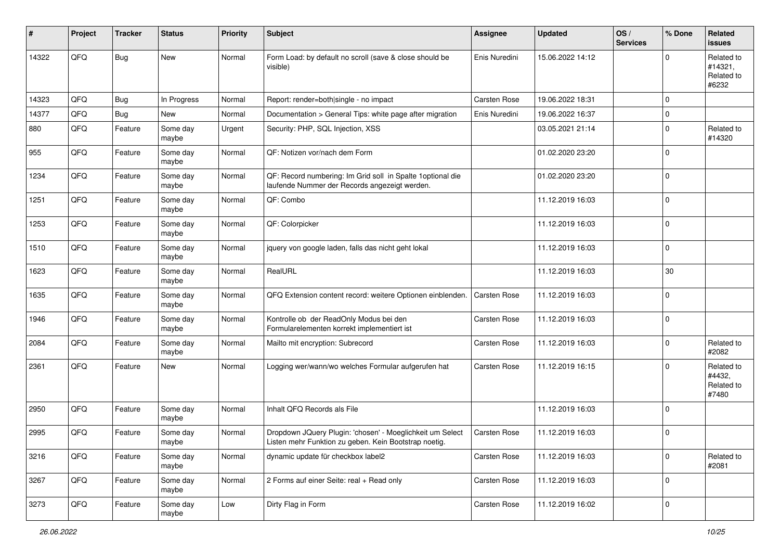| ∦     | Project | <b>Tracker</b> | <b>Status</b>     | <b>Priority</b> | <b>Subject</b>                                                                                                     | Assignee            | <b>Updated</b>   | OS/<br><b>Services</b> | % Done       | Related<br><b>issues</b>                     |
|-------|---------|----------------|-------------------|-----------------|--------------------------------------------------------------------------------------------------------------------|---------------------|------------------|------------------------|--------------|----------------------------------------------|
| 14322 | QFQ     | <b>Bug</b>     | New               | Normal          | Form Load: by default no scroll (save & close should be<br>visible)                                                | Enis Nuredini       | 15.06.2022 14:12 |                        | <sup>0</sup> | Related to<br>#14321,<br>Related to<br>#6232 |
| 14323 | QFQ     | <b>Bug</b>     | In Progress       | Normal          | Report: render=both single - no impact                                                                             | <b>Carsten Rose</b> | 19.06.2022 18:31 |                        | $\Omega$     |                                              |
| 14377 | QFQ     | <b>Bug</b>     | New               | Normal          | Documentation > General Tips: white page after migration                                                           | Enis Nuredini       | 19.06.2022 16:37 |                        | $\mathbf 0$  |                                              |
| 880   | QFQ     | Feature        | Some day<br>maybe | Urgent          | Security: PHP, SQL Injection, XSS                                                                                  |                     | 03.05.2021 21:14 |                        | $\Omega$     | Related to<br>#14320                         |
| 955   | QFQ     | Feature        | Some day<br>maybe | Normal          | QF: Notizen vor/nach dem Form                                                                                      |                     | 01.02.2020 23:20 |                        | $\Omega$     |                                              |
| 1234  | QFQ     | Feature        | Some day<br>maybe | Normal          | QF: Record numbering: Im Grid soll in Spalte 1 optional die<br>laufende Nummer der Records angezeigt werden.       |                     | 01.02.2020 23:20 |                        | $\Omega$     |                                              |
| 1251  | QFQ     | Feature        | Some day<br>maybe | Normal          | QF: Combo                                                                                                          |                     | 11.12.2019 16:03 |                        | 0            |                                              |
| 1253  | QFQ     | Feature        | Some day<br>maybe | Normal          | QF: Colorpicker                                                                                                    |                     | 11.12.2019 16:03 |                        | 0            |                                              |
| 1510  | QFQ     | Feature        | Some day<br>maybe | Normal          | jquery von google laden, falls das nicht geht lokal                                                                |                     | 11.12.2019 16:03 |                        | $\mathbf 0$  |                                              |
| 1623  | QFQ     | Feature        | Some day<br>maybe | Normal          | RealURL                                                                                                            |                     | 11.12.2019 16:03 |                        | 30           |                                              |
| 1635  | QFQ     | Feature        | Some day<br>maybe | Normal          | QFQ Extension content record: weitere Optionen einblenden.                                                         | <b>Carsten Rose</b> | 11.12.2019 16:03 |                        | $\Omega$     |                                              |
| 1946  | QFQ     | Feature        | Some day<br>maybe | Normal          | Kontrolle ob der ReadOnly Modus bei den<br>Formularelementen korrekt implementiert ist                             | <b>Carsten Rose</b> | 11.12.2019 16:03 |                        | $\Omega$     |                                              |
| 2084  | QFQ     | Feature        | Some day<br>maybe | Normal          | Mailto mit encryption: Subrecord                                                                                   | Carsten Rose        | 11.12.2019 16:03 |                        | $\Omega$     | Related to<br>#2082                          |
| 2361  | QFQ     | Feature        | New               | Normal          | Logging wer/wann/wo welches Formular aufgerufen hat                                                                | <b>Carsten Rose</b> | 11.12.2019 16:15 |                        | $\Omega$     | Related to<br>#4432,<br>Related to<br>#7480  |
| 2950  | QFQ     | Feature        | Some day<br>maybe | Normal          | Inhalt QFQ Records als File                                                                                        |                     | 11.12.2019 16:03 |                        | $\Omega$     |                                              |
| 2995  | QFQ     | Feature        | Some day<br>maybe | Normal          | Dropdown JQuery Plugin: 'chosen' - Moeglichkeit um Select<br>Listen mehr Funktion zu geben. Kein Bootstrap noetig. | <b>Carsten Rose</b> | 11.12.2019 16:03 |                        | $\Omega$     |                                              |
| 3216  | QFQ     | Feature        | Some day<br>maybe | Normal          | dynamic update für checkbox label2                                                                                 | Carsten Rose        | 11.12.2019 16:03 |                        | $\mathbf 0$  | Related to<br>#2081                          |
| 3267  | QFQ     | Feature        | Some day<br>maybe | Normal          | 2 Forms auf einer Seite: real + Read only                                                                          | Carsten Rose        | 11.12.2019 16:03 |                        | $\mathbf 0$  |                                              |
| 3273  | QFO     | Feature        | Some day<br>maybe | Low             | Dirty Flag in Form                                                                                                 | Carsten Rose        | 11.12.2019 16:02 |                        | $\mathbf 0$  |                                              |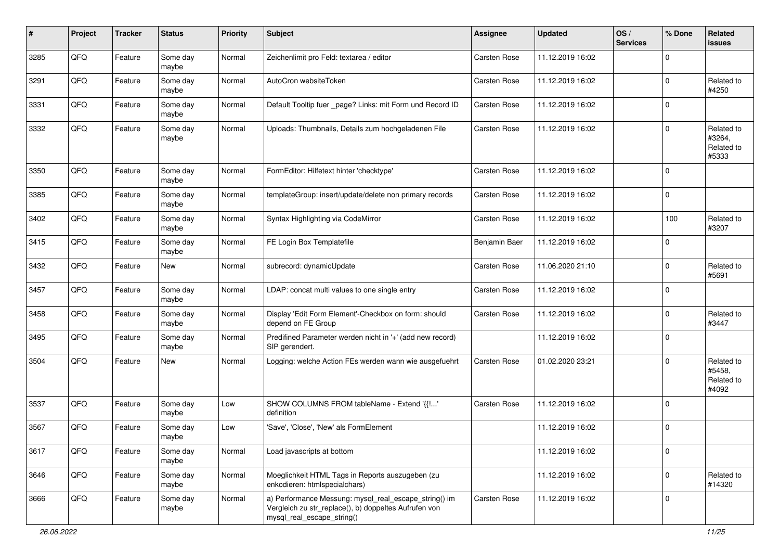| #    | Project | <b>Tracker</b> | <b>Status</b>     | <b>Priority</b> | <b>Subject</b>                                                                                                                               | <b>Assignee</b>     | <b>Updated</b>   | OS/<br><b>Services</b> | % Done         | Related<br>issues                           |
|------|---------|----------------|-------------------|-----------------|----------------------------------------------------------------------------------------------------------------------------------------------|---------------------|------------------|------------------------|----------------|---------------------------------------------|
| 3285 | QFQ     | Feature        | Some day<br>maybe | Normal          | Zeichenlimit pro Feld: textarea / editor                                                                                                     | Carsten Rose        | 11.12.2019 16:02 |                        | $\Omega$       |                                             |
| 3291 | QFQ     | Feature        | Some day<br>maybe | Normal          | AutoCron websiteToken                                                                                                                        | <b>Carsten Rose</b> | 11.12.2019 16:02 |                        | 0              | Related to<br>#4250                         |
| 3331 | QFQ     | Feature        | Some day<br>maybe | Normal          | Default Tooltip fuer _page? Links: mit Form und Record ID                                                                                    | Carsten Rose        | 11.12.2019 16:02 |                        | 0              |                                             |
| 3332 | QFQ     | Feature        | Some day<br>maybe | Normal          | Uploads: Thumbnails, Details zum hochgeladenen File                                                                                          | Carsten Rose        | 11.12.2019 16:02 |                        | 0              | Related to<br>#3264,<br>Related to<br>#5333 |
| 3350 | QFQ     | Feature        | Some day<br>maybe | Normal          | FormEditor: Hilfetext hinter 'checktype'                                                                                                     | Carsten Rose        | 11.12.2019 16:02 |                        | $\Omega$       |                                             |
| 3385 | QFQ     | Feature        | Some day<br>maybe | Normal          | templateGroup: insert/update/delete non primary records                                                                                      | Carsten Rose        | 11.12.2019 16:02 |                        | $\Omega$       |                                             |
| 3402 | QFQ     | Feature        | Some day<br>maybe | Normal          | Syntax Highlighting via CodeMirror                                                                                                           | Carsten Rose        | 11.12.2019 16:02 |                        | 100            | Related to<br>#3207                         |
| 3415 | QFQ     | Feature        | Some day<br>maybe | Normal          | FE Login Box Templatefile                                                                                                                    | Benjamin Baer       | 11.12.2019 16:02 |                        | $\Omega$       |                                             |
| 3432 | QFQ     | Feature        | New               | Normal          | subrecord: dynamicUpdate                                                                                                                     | Carsten Rose        | 11.06.2020 21:10 |                        | 0              | Related to<br>#5691                         |
| 3457 | QFQ     | Feature        | Some day<br>maybe | Normal          | LDAP: concat multi values to one single entry                                                                                                | Carsten Rose        | 11.12.2019 16:02 |                        | $\mathbf{0}$   |                                             |
| 3458 | QFQ     | Feature        | Some day<br>maybe | Normal          | Display 'Edit Form Element'-Checkbox on form: should<br>depend on FE Group                                                                   | <b>Carsten Rose</b> | 11.12.2019 16:02 |                        | 0              | Related to<br>#3447                         |
| 3495 | QFQ     | Feature        | Some day<br>maybe | Normal          | Predifined Parameter werden nicht in '+' (add new record)<br>SIP gerendert.                                                                  |                     | 11.12.2019 16:02 |                        | 0              |                                             |
| 3504 | QFQ     | Feature        | <b>New</b>        | Normal          | Logging: welche Action FEs werden wann wie ausgefuehrt                                                                                       | Carsten Rose        | 01.02.2020 23:21 |                        | $\Omega$       | Related to<br>#5458,<br>Related to<br>#4092 |
| 3537 | QFQ     | Feature        | Some day<br>maybe | Low             | SHOW COLUMNS FROM tableName - Extend '{{!'<br>definition                                                                                     | <b>Carsten Rose</b> | 11.12.2019 16:02 |                        | $\mathbf 0$    |                                             |
| 3567 | QFQ     | Feature        | Some day<br>maybe | Low             | 'Save', 'Close', 'New' als FormElement                                                                                                       |                     | 11.12.2019 16:02 |                        | 0              |                                             |
| 3617 | QFQ     | Feature        | Some day<br>maybe | Normal          | Load javascripts at bottom                                                                                                                   |                     | 11.12.2019 16:02 |                        | $\overline{0}$ |                                             |
| 3646 | QFQ     | Feature        | Some day<br>maybe | Normal          | Moeglichkeit HTML Tags in Reports auszugeben (zu<br>enkodieren: htmlspecialchars)                                                            |                     | 11.12.2019 16:02 |                        | $\Omega$       | Related to<br>#14320                        |
| 3666 | QFQ     | Feature        | Some day<br>maybe | Normal          | a) Performance Messung: mysql_real_escape_string() im<br>Vergleich zu str_replace(), b) doppeltes Aufrufen von<br>mysql_real_escape_string() | Carsten Rose        | 11.12.2019 16:02 |                        | 0              |                                             |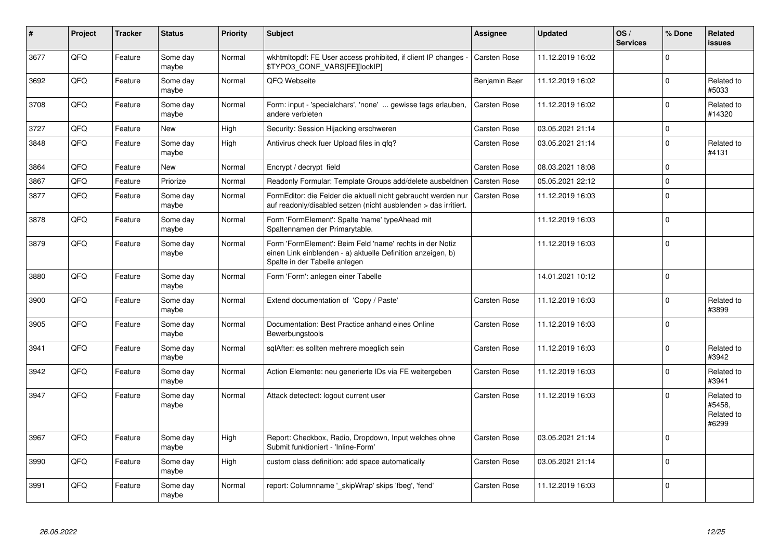| #    | Project | <b>Tracker</b> | <b>Status</b>     | <b>Priority</b> | <b>Subject</b>                                                                                                                                           | Assignee            | <b>Updated</b>   | OS/<br><b>Services</b> | % Done      | Related<br>issues                           |
|------|---------|----------------|-------------------|-----------------|----------------------------------------------------------------------------------------------------------------------------------------------------------|---------------------|------------------|------------------------|-------------|---------------------------------------------|
| 3677 | QFQ     | Feature        | Some day<br>maybe | Normal          | wkhtmltopdf: FE User access prohibited, if client IP changes -<br>\$TYPO3_CONF_VARS[FE][lockIP]                                                          | Carsten Rose        | 11.12.2019 16:02 |                        | $\Omega$    |                                             |
| 3692 | QFQ     | Feature        | Some day<br>maybe | Normal          | QFQ Webseite                                                                                                                                             | Benjamin Baer       | 11.12.2019 16:02 |                        | 0           | Related to<br>#5033                         |
| 3708 | QFQ     | Feature        | Some day<br>maybe | Normal          | Form: input - 'specialchars', 'none'  gewisse tags erlauben,<br>andere verbieten                                                                         | Carsten Rose        | 11.12.2019 16:02 |                        | $\Omega$    | Related to<br>#14320                        |
| 3727 | QFQ     | Feature        | <b>New</b>        | High            | Security: Session Hijacking erschweren                                                                                                                   | Carsten Rose        | 03.05.2021 21:14 |                        | 0           |                                             |
| 3848 | QFQ     | Feature        | Some day<br>maybe | High            | Antivirus check fuer Upload files in qfq?                                                                                                                | Carsten Rose        | 03.05.2021 21:14 |                        | $\Omega$    | Related to<br>#4131                         |
| 3864 | QFQ     | Feature        | New               | Normal          | Encrypt / decrypt field                                                                                                                                  | Carsten Rose        | 08.03.2021 18:08 |                        | 0           |                                             |
| 3867 | QFQ     | Feature        | Priorize          | Normal          | Readonly Formular: Template Groups add/delete ausbeldnen                                                                                                 | <b>Carsten Rose</b> | 05.05.2021 22:12 |                        | $\mathbf 0$ |                                             |
| 3877 | QFQ     | Feature        | Some day<br>maybe | Normal          | FormEditor: die Felder die aktuell nicht gebraucht werden nur<br>auf readonly/disabled setzen (nicht ausblenden > das irritiert.                         | <b>Carsten Rose</b> | 11.12.2019 16:03 |                        | $\Omega$    |                                             |
| 3878 | QFQ     | Feature        | Some day<br>maybe | Normal          | Form 'FormElement': Spalte 'name' typeAhead mit<br>Spaltennamen der Primarytable.                                                                        |                     | 11.12.2019 16:03 |                        | $\Omega$    |                                             |
| 3879 | QFQ     | Feature        | Some day<br>maybe | Normal          | Form 'FormElement': Beim Feld 'name' rechts in der Notiz<br>einen Link einblenden - a) aktuelle Definition anzeigen, b)<br>Spalte in der Tabelle anlegen |                     | 11.12.2019 16:03 |                        | $\Omega$    |                                             |
| 3880 | QFQ     | Feature        | Some day<br>maybe | Normal          | Form 'Form': anlegen einer Tabelle                                                                                                                       |                     | 14.01.2021 10:12 |                        | $\Omega$    |                                             |
| 3900 | QFQ     | Feature        | Some day<br>maybe | Normal          | Extend documentation of 'Copy / Paste'                                                                                                                   | Carsten Rose        | 11.12.2019 16:03 |                        | $\Omega$    | Related to<br>#3899                         |
| 3905 | QFQ     | Feature        | Some day<br>maybe | Normal          | Documentation: Best Practice anhand eines Online<br>Bewerbungstools                                                                                      | Carsten Rose        | 11.12.2019 16:03 |                        | $\Omega$    |                                             |
| 3941 | QFQ     | Feature        | Some day<br>maybe | Normal          | sglAfter: es sollten mehrere moeglich sein                                                                                                               | Carsten Rose        | 11.12.2019 16:03 |                        | $\Omega$    | Related to<br>#3942                         |
| 3942 | QFQ     | Feature        | Some day<br>maybe | Normal          | Action Elemente: neu generierte IDs via FE weitergeben                                                                                                   | Carsten Rose        | 11.12.2019 16:03 |                        | $\Omega$    | Related to<br>#3941                         |
| 3947 | QFQ     | Feature        | Some day<br>maybe | Normal          | Attack detectect: logout current user                                                                                                                    | Carsten Rose        | 11.12.2019 16:03 |                        | $\Omega$    | Related to<br>#5458,<br>Related to<br>#6299 |
| 3967 | QFQ     | Feature        | Some day<br>maybe | High            | Report: Checkbox, Radio, Dropdown, Input welches ohne<br>Submit funktioniert - 'Inline-Form'                                                             | Carsten Rose        | 03.05.2021 21:14 |                        | $\Omega$    |                                             |
| 3990 | QFQ     | Feature        | Some day<br>maybe | High            | custom class definition: add space automatically                                                                                                         | Carsten Rose        | 03.05.2021 21:14 |                        | 0           |                                             |
| 3991 | QFQ     | Feature        | Some day<br>maybe | Normal          | report: Columnname '_skipWrap' skips 'fbeg', 'fend'                                                                                                      | Carsten Rose        | 11.12.2019 16:03 |                        | $\Omega$    |                                             |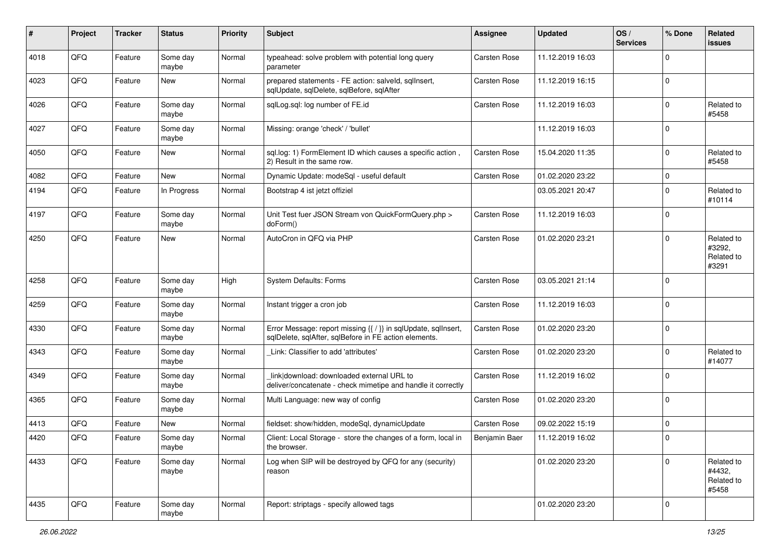| #    | Project | <b>Tracker</b> | <b>Status</b>     | <b>Priority</b> | <b>Subject</b>                                                                                                          | <b>Assignee</b>     | <b>Updated</b>   | OS/<br><b>Services</b> | % Done         | Related<br>issues                           |
|------|---------|----------------|-------------------|-----------------|-------------------------------------------------------------------------------------------------------------------------|---------------------|------------------|------------------------|----------------|---------------------------------------------|
| 4018 | QFQ     | Feature        | Some day<br>maybe | Normal          | typeahead: solve problem with potential long query<br>parameter                                                         | <b>Carsten Rose</b> | 11.12.2019 16:03 |                        | 0              |                                             |
| 4023 | QFQ     | Feature        | New               | Normal          | prepared statements - FE action: salveld, sqllnsert,<br>sqlUpdate, sqlDelete, sqlBefore, sqlAfter                       | <b>Carsten Rose</b> | 11.12.2019 16:15 |                        | $\mathbf{0}$   |                                             |
| 4026 | QFQ     | Feature        | Some day<br>maybe | Normal          | sqlLog.sql: log number of FE.id                                                                                         | Carsten Rose        | 11.12.2019 16:03 |                        | 0              | Related to<br>#5458                         |
| 4027 | QFQ     | Feature        | Some day<br>maybe | Normal          | Missing: orange 'check' / 'bullet'                                                                                      |                     | 11.12.2019 16:03 |                        | 0              |                                             |
| 4050 | QFQ     | Feature        | <b>New</b>        | Normal          | sql.log: 1) FormElement ID which causes a specific action,<br>2) Result in the same row.                                | Carsten Rose        | 15.04.2020 11:35 |                        | $\mathbf 0$    | Related to<br>#5458                         |
| 4082 | QFQ     | Feature        | <b>New</b>        | Normal          | Dynamic Update: modeSql - useful default                                                                                | <b>Carsten Rose</b> | 01.02.2020 23:22 |                        | $\mathbf 0$    |                                             |
| 4194 | QFQ     | Feature        | In Progress       | Normal          | Bootstrap 4 ist jetzt offiziel                                                                                          |                     | 03.05.2021 20:47 |                        | $\Omega$       | Related to<br>#10114                        |
| 4197 | QFQ     | Feature        | Some day<br>maybe | Normal          | Unit Test fuer JSON Stream von QuickFormQuery.php ><br>doForm()                                                         | <b>Carsten Rose</b> | 11.12.2019 16:03 |                        | 0              |                                             |
| 4250 | QFQ     | Feature        | New               | Normal          | AutoCron in QFQ via PHP                                                                                                 | Carsten Rose        | 01.02.2020 23:21 |                        | 0              | Related to<br>#3292,<br>Related to<br>#3291 |
| 4258 | QFQ     | Feature        | Some day<br>maybe | High            | System Defaults: Forms                                                                                                  | Carsten Rose        | 03.05.2021 21:14 |                        | $\Omega$       |                                             |
| 4259 | QFQ     | Feature        | Some day<br>maybe | Normal          | Instant trigger a cron job                                                                                              | Carsten Rose        | 11.12.2019 16:03 |                        | $\Omega$       |                                             |
| 4330 | QFQ     | Feature        | Some day<br>maybe | Normal          | Error Message: report missing {{ / }} in sqlUpdate, sqlInsert,<br>sqlDelete, sqlAfter, sqlBefore in FE action elements. | <b>Carsten Rose</b> | 01.02.2020 23:20 |                        | $\Omega$       |                                             |
| 4343 | QFQ     | Feature        | Some day<br>maybe | Normal          | Link: Classifier to add 'attributes'                                                                                    | Carsten Rose        | 01.02.2020 23:20 |                        | 0              | Related to<br>#14077                        |
| 4349 | QFQ     | Feature        | Some day<br>maybe | Normal          | link download: downloaded external URL to<br>deliver/concatenate - check mimetipe and handle it correctly               | Carsten Rose        | 11.12.2019 16:02 |                        | $\Omega$       |                                             |
| 4365 | QFQ     | Feature        | Some day<br>maybe | Normal          | Multi Language: new way of config                                                                                       | Carsten Rose        | 01.02.2020 23:20 |                        | 0              |                                             |
| 4413 | QFQ     | Feature        | New               | Normal          | fieldset: show/hidden, modeSql, dynamicUpdate                                                                           | <b>Carsten Rose</b> | 09.02.2022 15:19 |                        | $\mathbf 0$    |                                             |
| 4420 | QFQ     | Feature        | Some day<br>maybe | Normal          | Client: Local Storage - store the changes of a form, local in<br>the browser.                                           | Benjamin Baer       | 11.12.2019 16:02 |                        | $\Omega$       |                                             |
| 4433 | QFQ     | Feature        | Some day<br>maybe | Normal          | Log when SIP will be destroyed by QFQ for any (security)<br>reason                                                      |                     | 01.02.2020 23:20 |                        | $\Omega$       | Related to<br>#4432,<br>Related to<br>#5458 |
| 4435 | QFQ     | Feature        | Some day<br>maybe | Normal          | Report: striptags - specify allowed tags                                                                                |                     | 01.02.2020 23:20 |                        | $\overline{0}$ |                                             |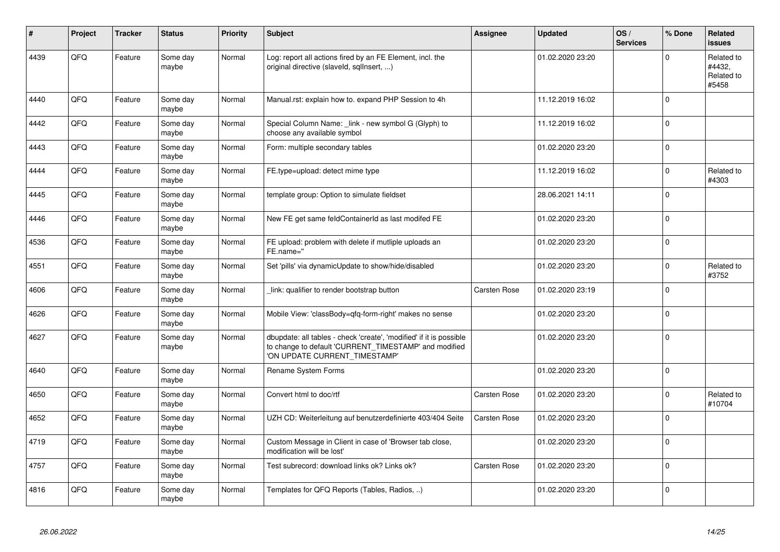| #    | Project | <b>Tracker</b> | <b>Status</b>     | <b>Priority</b> | <b>Subject</b>                                                                                                                                                | Assignee            | <b>Updated</b>   | OS/<br><b>Services</b> | % Done   | Related<br>issues                           |
|------|---------|----------------|-------------------|-----------------|---------------------------------------------------------------------------------------------------------------------------------------------------------------|---------------------|------------------|------------------------|----------|---------------------------------------------|
| 4439 | QFQ     | Feature        | Some day<br>maybe | Normal          | Log: report all actions fired by an FE Element, incl. the<br>original directive (slaveld, sqllnsert, )                                                        |                     | 01.02.2020 23:20 |                        | $\Omega$ | Related to<br>#4432,<br>Related to<br>#5458 |
| 4440 | QFQ     | Feature        | Some day<br>maybe | Normal          | Manual.rst: explain how to. expand PHP Session to 4h                                                                                                          |                     | 11.12.2019 16:02 |                        | $\Omega$ |                                             |
| 4442 | QFQ     | Feature        | Some day<br>maybe | Normal          | Special Column Name: link - new symbol G (Glyph) to<br>choose any available symbol                                                                            |                     | 11.12.2019 16:02 |                        | $\Omega$ |                                             |
| 4443 | QFQ     | Feature        | Some day<br>maybe | Normal          | Form: multiple secondary tables                                                                                                                               |                     | 01.02.2020 23:20 |                        | $\Omega$ |                                             |
| 4444 | QFQ     | Feature        | Some day<br>maybe | Normal          | FE.type=upload: detect mime type                                                                                                                              |                     | 11.12.2019 16:02 |                        | $\Omega$ | Related to<br>#4303                         |
| 4445 | QFQ     | Feature        | Some day<br>maybe | Normal          | template group: Option to simulate fieldset                                                                                                                   |                     | 28.06.2021 14:11 |                        | $\Omega$ |                                             |
| 4446 | QFQ     | Feature        | Some day<br>maybe | Normal          | New FE get same feldContainerId as last modifed FE                                                                                                            |                     | 01.02.2020 23:20 |                        | $\Omega$ |                                             |
| 4536 | QFQ     | Feature        | Some day<br>maybe | Normal          | FE upload: problem with delete if mutliple uploads an<br>FE.name="                                                                                            |                     | 01.02.2020 23:20 |                        | $\Omega$ |                                             |
| 4551 | QFQ     | Feature        | Some day<br>maybe | Normal          | Set 'pills' via dynamicUpdate to show/hide/disabled                                                                                                           |                     | 01.02.2020 23:20 |                        | $\Omega$ | Related to<br>#3752                         |
| 4606 | QFQ     | Feature        | Some day<br>maybe | Normal          | link: qualifier to render bootstrap button                                                                                                                    | Carsten Rose        | 01.02.2020 23:19 |                        | $\Omega$ |                                             |
| 4626 | QFQ     | Feature        | Some day<br>maybe | Normal          | Mobile View: 'classBody=qfq-form-right' makes no sense                                                                                                        |                     | 01.02.2020 23:20 |                        | $\Omega$ |                                             |
| 4627 | QFQ     | Feature        | Some day<br>maybe | Normal          | dbupdate: all tables - check 'create', 'modified' if it is possible<br>to change to default 'CURRENT_TIMESTAMP' and modified<br>'ON UPDATE CURRENT_TIMESTAMP' |                     | 01.02.2020 23:20 |                        | $\Omega$ |                                             |
| 4640 | QFQ     | Feature        | Some day<br>maybe | Normal          | Rename System Forms                                                                                                                                           |                     | 01.02.2020 23:20 |                        | $\Omega$ |                                             |
| 4650 | QFQ     | Feature        | Some day<br>maybe | Normal          | Convert html to doc/rtf                                                                                                                                       | Carsten Rose        | 01.02.2020 23:20 |                        | $\Omega$ | Related to<br>#10704                        |
| 4652 | QFQ     | Feature        | Some day<br>maybe | Normal          | UZH CD: Weiterleitung auf benutzerdefinierte 403/404 Seite                                                                                                    | Carsten Rose        | 01.02.2020 23:20 |                        | $\Omega$ |                                             |
| 4719 | QFQ     | Feature        | Some day<br>maybe | Normal          | Custom Message in Client in case of 'Browser tab close,<br>modification will be lost'                                                                         |                     | 01.02.2020 23:20 |                        | $\Omega$ |                                             |
| 4757 | QFQ     | Feature        | Some day<br>maybe | Normal          | Test subrecord: download links ok? Links ok?                                                                                                                  | <b>Carsten Rose</b> | 01.02.2020 23:20 |                        | $\Omega$ |                                             |
| 4816 | QFQ     | Feature        | Some day<br>maybe | Normal          | Templates for QFQ Reports (Tables, Radios, )                                                                                                                  |                     | 01.02.2020 23:20 |                        | $\Omega$ |                                             |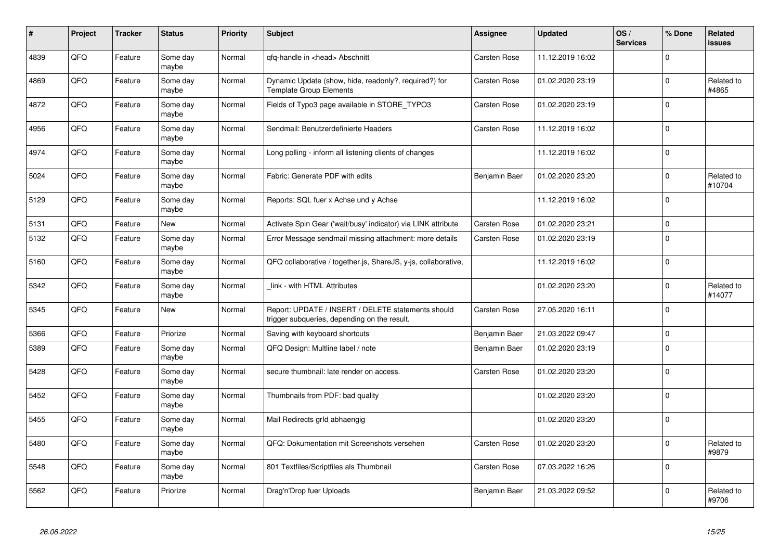| #    | <b>Project</b> | <b>Tracker</b> | <b>Status</b>     | <b>Priority</b> | <b>Subject</b>                                                                                     | <b>Assignee</b>     | <b>Updated</b>   | OS/<br><b>Services</b> | % Done       | Related<br>issues    |
|------|----------------|----------------|-------------------|-----------------|----------------------------------------------------------------------------------------------------|---------------------|------------------|------------------------|--------------|----------------------|
| 4839 | QFQ            | Feature        | Some day<br>maybe | Normal          | gfg-handle in <head> Abschnitt</head>                                                              | <b>Carsten Rose</b> | 11.12.2019 16:02 |                        | $\Omega$     |                      |
| 4869 | QFQ            | Feature        | Some day<br>maybe | Normal          | Dynamic Update (show, hide, readonly?, required?) for<br><b>Template Group Elements</b>            | Carsten Rose        | 01.02.2020 23:19 |                        | $\Omega$     | Related to<br>#4865  |
| 4872 | QFQ            | Feature        | Some day<br>maybe | Normal          | Fields of Typo3 page available in STORE_TYPO3                                                      | Carsten Rose        | 01.02.2020 23:19 |                        | $\Omega$     |                      |
| 4956 | QFQ            | Feature        | Some day<br>maybe | Normal          | Sendmail: Benutzerdefinierte Headers                                                               | Carsten Rose        | 11.12.2019 16:02 |                        | $\Omega$     |                      |
| 4974 | QFQ            | Feature        | Some day<br>maybe | Normal          | Long polling - inform all listening clients of changes                                             |                     | 11.12.2019 16:02 |                        | $\Omega$     |                      |
| 5024 | QFQ            | Feature        | Some day<br>maybe | Normal          | Fabric: Generate PDF with edits                                                                    | Benjamin Baer       | 01.02.2020 23:20 |                        | $\Omega$     | Related to<br>#10704 |
| 5129 | QFQ            | Feature        | Some day<br>maybe | Normal          | Reports: SQL fuer x Achse und y Achse                                                              |                     | 11.12.2019 16:02 |                        | $\Omega$     |                      |
| 5131 | QFQ            | Feature        | <b>New</b>        | Normal          | Activate Spin Gear ('wait/busy' indicator) via LINK attribute                                      | <b>Carsten Rose</b> | 01.02.2020 23:21 |                        | $\Omega$     |                      |
| 5132 | QFQ            | Feature        | Some day<br>maybe | Normal          | Error Message sendmail missing attachment: more details                                            | Carsten Rose        | 01.02.2020 23:19 |                        | $\Omega$     |                      |
| 5160 | QFQ            | Feature        | Some day<br>maybe | Normal          | QFQ collaborative / together.js, ShareJS, y-js, collaborative,                                     |                     | 11.12.2019 16:02 |                        | $\Omega$     |                      |
| 5342 | QFQ            | Feature        | Some day<br>maybe | Normal          | link - with HTML Attributes                                                                        |                     | 01.02.2020 23:20 |                        | $\Omega$     | Related to<br>#14077 |
| 5345 | QFQ            | Feature        | New               | Normal          | Report: UPDATE / INSERT / DELETE statements should<br>trigger subqueries, depending on the result. | Carsten Rose        | 27.05.2020 16:11 |                        | $\Omega$     |                      |
| 5366 | QFQ            | Feature        | Priorize          | Normal          | Saving with keyboard shortcuts                                                                     | Benjamin Baer       | 21.03.2022 09:47 |                        | $\Omega$     |                      |
| 5389 | QFQ            | Feature        | Some day<br>maybe | Normal          | QFQ Design: Multline label / note                                                                  | Benjamin Baer       | 01.02.2020 23:19 |                        | $\Omega$     |                      |
| 5428 | QFQ            | Feature        | Some day<br>maybe | Normal          | secure thumbnail: late render on access.                                                           | <b>Carsten Rose</b> | 01.02.2020 23:20 |                        | $\Omega$     |                      |
| 5452 | QFQ            | Feature        | Some day<br>maybe | Normal          | Thumbnails from PDF: bad quality                                                                   |                     | 01.02.2020 23:20 |                        | $\mathbf{0}$ |                      |
| 5455 | QFQ            | Feature        | Some day<br>maybe | Normal          | Mail Redirects grld abhaengig                                                                      |                     | 01.02.2020 23:20 |                        | $\Omega$     |                      |
| 5480 | QFQ            | Feature        | Some day<br>maybe | Normal          | QFQ: Dokumentation mit Screenshots versehen                                                        | Carsten Rose        | 01.02.2020 23:20 |                        | $\Omega$     | Related to<br>#9879  |
| 5548 | QFQ            | Feature        | Some day<br>maybe | Normal          | 801 Textfiles/Scriptfiles als Thumbnail                                                            | Carsten Rose        | 07.03.2022 16:26 |                        | $\Omega$     |                      |
| 5562 | QFQ            | Feature        | Priorize          | Normal          | Drag'n'Drop fuer Uploads                                                                           | Benjamin Baer       | 21.03.2022 09:52 |                        | $\Omega$     | Related to<br>#9706  |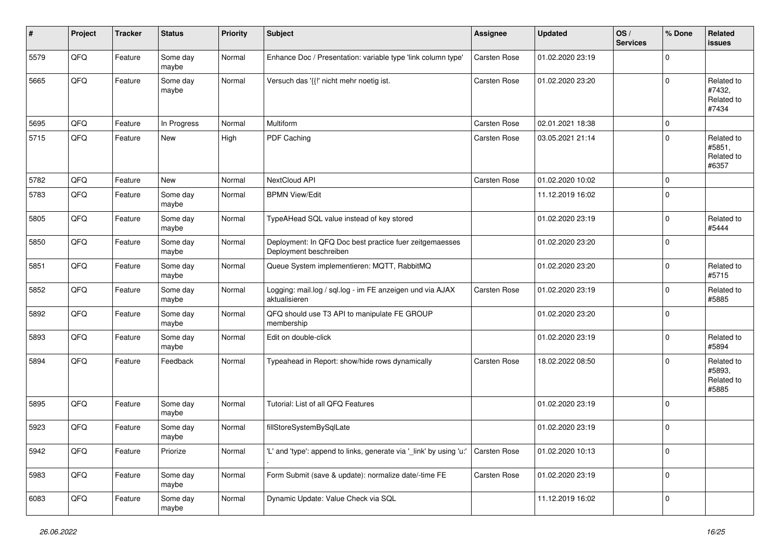| #    | Project | <b>Tracker</b> | <b>Status</b>     | <b>Priority</b> | Subject                                                                           | <b>Assignee</b>     | <b>Updated</b>   | OS/<br><b>Services</b> | % Done         | Related<br>issues                           |
|------|---------|----------------|-------------------|-----------------|-----------------------------------------------------------------------------------|---------------------|------------------|------------------------|----------------|---------------------------------------------|
| 5579 | QFQ     | Feature        | Some day<br>maybe | Normal          | Enhance Doc / Presentation: variable type 'link column type'                      | Carsten Rose        | 01.02.2020 23:19 |                        | $\Omega$       |                                             |
| 5665 | QFQ     | Feature        | Some day<br>maybe | Normal          | Versuch das '{{!' nicht mehr noetig ist.                                          | <b>Carsten Rose</b> | 01.02.2020 23:20 |                        | $\Omega$       | Related to<br>#7432,<br>Related to<br>#7434 |
| 5695 | QFQ     | Feature        | In Progress       | Normal          | Multiform                                                                         | Carsten Rose        | 02.01.2021 18:38 |                        | $\mathbf 0$    |                                             |
| 5715 | QFQ     | Feature        | New               | High            | PDF Caching                                                                       | Carsten Rose        | 03.05.2021 21:14 |                        | $\Omega$       | Related to<br>#5851,<br>Related to<br>#6357 |
| 5782 | QFQ     | Feature        | <b>New</b>        | Normal          | NextCloud API                                                                     | Carsten Rose        | 01.02.2020 10:02 |                        | $\mathbf 0$    |                                             |
| 5783 | QFQ     | Feature        | Some day<br>maybe | Normal          | <b>BPMN View/Edit</b>                                                             |                     | 11.12.2019 16:02 |                        | $\Omega$       |                                             |
| 5805 | QFQ     | Feature        | Some day<br>maybe | Normal          | TypeAHead SQL value instead of key stored                                         |                     | 01.02.2020 23:19 |                        | $\Omega$       | Related to<br>#5444                         |
| 5850 | QFQ     | Feature        | Some day<br>maybe | Normal          | Deployment: In QFQ Doc best practice fuer zeitgemaesses<br>Deployment beschreiben |                     | 01.02.2020 23:20 |                        | $\Omega$       |                                             |
| 5851 | QFQ     | Feature        | Some day<br>maybe | Normal          | Queue System implementieren: MQTT, RabbitMQ                                       |                     | 01.02.2020 23:20 |                        | $\Omega$       | Related to<br>#5715                         |
| 5852 | QFQ     | Feature        | Some day<br>maybe | Normal          | Logging: mail.log / sql.log - im FE anzeigen und via AJAX<br>aktualisieren        | <b>Carsten Rose</b> | 01.02.2020 23:19 |                        | 0              | Related to<br>#5885                         |
| 5892 | QFQ     | Feature        | Some day<br>maybe | Normal          | QFQ should use T3 API to manipulate FE GROUP<br>membership                        |                     | 01.02.2020 23:20 |                        | $\mathbf 0$    |                                             |
| 5893 | QFQ     | Feature        | Some day<br>maybe | Normal          | Edit on double-click                                                              |                     | 01.02.2020 23:19 |                        | $\Omega$       | Related to<br>#5894                         |
| 5894 | QFQ     | Feature        | Feedback          | Normal          | Typeahead in Report: show/hide rows dynamically                                   | <b>Carsten Rose</b> | 18.02.2022 08:50 |                        | $\Omega$       | Related to<br>#5893,<br>Related to<br>#5885 |
| 5895 | QFQ     | Feature        | Some day<br>maybe | Normal          | Tutorial: List of all QFQ Features                                                |                     | 01.02.2020 23:19 |                        | $\mathbf 0$    |                                             |
| 5923 | QFQ     | Feature        | Some day<br>maybe | Normal          | fillStoreSystemBySqlLate                                                          |                     | 01.02.2020 23:19 |                        | $\Omega$       |                                             |
| 5942 | QFG     | Feature        | Priorize          | Normal          | 'L' and 'type': append to links, generate via '_link' by using 'u:'               | <b>Carsten Rose</b> | 01.02.2020 10:13 |                        | $\overline{0}$ |                                             |
| 5983 | QFO     | Feature        | Some day<br>maybe | Normal          | Form Submit (save & update): normalize date/-time FE                              | Carsten Rose        | 01.02.2020 23:19 |                        | $\mathbf 0$    |                                             |
| 6083 | QFG     | Feature        | Some day<br>maybe | Normal          | Dynamic Update: Value Check via SQL                                               |                     | 11.12.2019 16:02 |                        | 0              |                                             |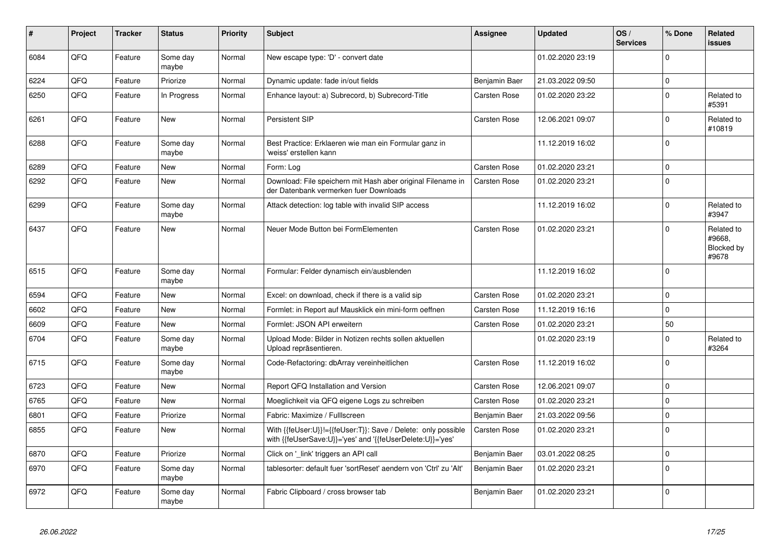| #    | Project | <b>Tracker</b> | <b>Status</b>     | <b>Priority</b> | <b>Subject</b>                                                                                                             | Assignee            | <b>Updated</b>   | OS/<br><b>Services</b> | % Done         | <b>Related</b><br><b>issues</b>             |
|------|---------|----------------|-------------------|-----------------|----------------------------------------------------------------------------------------------------------------------------|---------------------|------------------|------------------------|----------------|---------------------------------------------|
| 6084 | QFQ     | Feature        | Some day<br>maybe | Normal          | New escape type: 'D' - convert date                                                                                        |                     | 01.02.2020 23:19 |                        | $\Omega$       |                                             |
| 6224 | QFQ     | Feature        | Priorize          | Normal          | Dynamic update: fade in/out fields                                                                                         | Benjamin Baer       | 21.03.2022 09:50 |                        | $\Omega$       |                                             |
| 6250 | QFQ     | Feature        | In Progress       | Normal          | Enhance layout: a) Subrecord, b) Subrecord-Title                                                                           | <b>Carsten Rose</b> | 01.02.2020 23:22 |                        | $\Omega$       | Related to<br>#5391                         |
| 6261 | QFQ     | Feature        | New               | Normal          | Persistent SIP                                                                                                             | <b>Carsten Rose</b> | 12.06.2021 09:07 |                        | $\Omega$       | Related to<br>#10819                        |
| 6288 | QFQ     | Feature        | Some day<br>maybe | Normal          | Best Practice: Erklaeren wie man ein Formular ganz in<br>'weiss' erstellen kann                                            |                     | 11.12.2019 16:02 |                        | $\Omega$       |                                             |
| 6289 | QFQ     | Feature        | <b>New</b>        | Normal          | Form: Log                                                                                                                  | <b>Carsten Rose</b> | 01.02.2020 23:21 |                        | $\overline{0}$ |                                             |
| 6292 | QFQ     | Feature        | <b>New</b>        | Normal          | Download: File speichern mit Hash aber original Filename in<br>der Datenbank vermerken fuer Downloads                      | <b>Carsten Rose</b> | 01.02.2020 23:21 |                        | $\Omega$       |                                             |
| 6299 | QFQ     | Feature        | Some day<br>maybe | Normal          | Attack detection: log table with invalid SIP access                                                                        |                     | 11.12.2019 16:02 |                        | $\Omega$       | Related to<br>#3947                         |
| 6437 | QFQ     | Feature        | New               | Normal          | Neuer Mode Button bei FormElementen                                                                                        | <b>Carsten Rose</b> | 01.02.2020 23:21 |                        | $\Omega$       | Related to<br>#9668,<br>Blocked by<br>#9678 |
| 6515 | QFQ     | Feature        | Some day<br>maybe | Normal          | Formular: Felder dynamisch ein/ausblenden                                                                                  |                     | 11.12.2019 16:02 |                        | $\Omega$       |                                             |
| 6594 | QFQ     | Feature        | <b>New</b>        | Normal          | Excel: on download, check if there is a valid sip                                                                          | <b>Carsten Rose</b> | 01.02.2020 23:21 |                        | $\Omega$       |                                             |
| 6602 | QFQ     | Feature        | New               | Normal          | Formlet: in Report auf Mausklick ein mini-form oeffnen                                                                     | <b>Carsten Rose</b> | 11.12.2019 16:16 |                        | $\Omega$       |                                             |
| 6609 | QFQ     | Feature        | New               | Normal          | Formlet: JSON API erweitern                                                                                                | Carsten Rose        | 01.02.2020 23:21 |                        | 50             |                                             |
| 6704 | QFQ     | Feature        | Some day<br>maybe | Normal          | Upload Mode: Bilder in Notizen rechts sollen aktuellen<br>Upload repräsentieren.                                           |                     | 01.02.2020 23:19 |                        | $\Omega$       | Related to<br>#3264                         |
| 6715 | QFQ     | Feature        | Some day<br>maybe | Normal          | Code-Refactoring: dbArray vereinheitlichen                                                                                 | Carsten Rose        | 11.12.2019 16:02 |                        | $\Omega$       |                                             |
| 6723 | QFQ     | Feature        | <b>New</b>        | Normal          | Report QFQ Installation and Version                                                                                        | <b>Carsten Rose</b> | 12.06.2021 09:07 |                        | $\overline{0}$ |                                             |
| 6765 | QFQ     | Feature        | <b>New</b>        | Normal          | Moeglichkeit via QFQ eigene Logs zu schreiben                                                                              | Carsten Rose        | 01.02.2020 23:21 |                        | $\Omega$       |                                             |
| 6801 | QFQ     | Feature        | Priorize          | Normal          | Fabric: Maximize / FullIscreen                                                                                             | Benjamin Baer       | 21.03.2022 09:56 |                        | 0              |                                             |
| 6855 | QFQ     | Feature        | <b>New</b>        | Normal          | With {{feUser:U}}!={{feUser:T}}: Save / Delete: only possible<br>with {{feUserSave:U}}='yes' and '{{feUserDelete:U}}='yes' | <b>Carsten Rose</b> | 01.02.2020 23:21 |                        | $\Omega$       |                                             |
| 6870 | QFQ     | Feature        | Priorize          | Normal          | Click on '_link' triggers an API call                                                                                      | Benjamin Baer       | 03.01.2022 08:25 |                        | $\mathbf 0$    |                                             |
| 6970 | QFQ     | Feature        | Some day<br>maybe | Normal          | tablesorter: default fuer 'sortReset' aendern von 'Ctrl' zu 'Alt'                                                          | Benjamin Baer       | 01.02.2020 23:21 |                        | $\Omega$       |                                             |
| 6972 | QFQ     | Feature        | Some day<br>maybe | Normal          | Fabric Clipboard / cross browser tab                                                                                       | Benjamin Baer       | 01.02.2020 23:21 |                        | l 0            |                                             |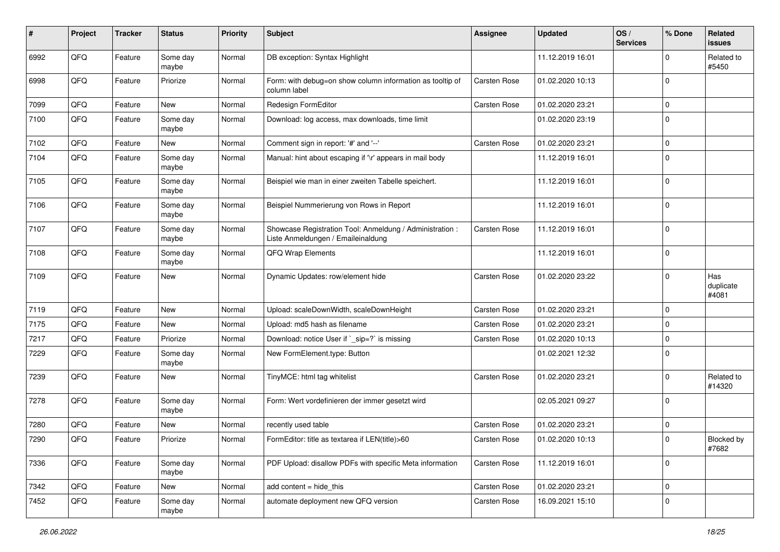| #    | Project | <b>Tracker</b> | <b>Status</b>     | <b>Priority</b> | <b>Subject</b>                                                                                 | Assignee            | <b>Updated</b>   | OS/<br><b>Services</b> | % Done         | Related<br><b>issues</b>  |
|------|---------|----------------|-------------------|-----------------|------------------------------------------------------------------------------------------------|---------------------|------------------|------------------------|----------------|---------------------------|
| 6992 | QFQ     | Feature        | Some day<br>maybe | Normal          | DB exception: Syntax Highlight                                                                 |                     | 11.12.2019 16:01 |                        | <sup>0</sup>   | Related to<br>#5450       |
| 6998 | QFQ     | Feature        | Priorize          | Normal          | Form: with debug=on show column information as tooltip of<br>column label                      | <b>Carsten Rose</b> | 01.02.2020 10:13 |                        | 0              |                           |
| 7099 | QFQ     | Feature        | New               | Normal          | Redesign FormEditor                                                                            | <b>Carsten Rose</b> | 01.02.2020 23:21 |                        | 0              |                           |
| 7100 | QFQ     | Feature        | Some day<br>maybe | Normal          | Download: log access, max downloads, time limit                                                |                     | 01.02.2020 23:19 |                        | $\Omega$       |                           |
| 7102 | QFQ     | Feature        | <b>New</b>        | Normal          | Comment sign in report: '#' and '--'                                                           | Carsten Rose        | 01.02.2020 23:21 |                        | $\Omega$       |                           |
| 7104 | QFQ     | Feature        | Some day<br>maybe | Normal          | Manual: hint about escaping if '\r' appears in mail body                                       |                     | 11.12.2019 16:01 |                        | 0              |                           |
| 7105 | QFQ     | Feature        | Some day<br>maybe | Normal          | Beispiel wie man in einer zweiten Tabelle speichert.                                           |                     | 11.12.2019 16:01 |                        | 0              |                           |
| 7106 | QFQ     | Feature        | Some day<br>maybe | Normal          | Beispiel Nummerierung von Rows in Report                                                       |                     | 11.12.2019 16:01 |                        | $\Omega$       |                           |
| 7107 | QFQ     | Feature        | Some day<br>maybe | Normal          | Showcase Registration Tool: Anmeldung / Administration :<br>Liste Anmeldungen / Emaileinaldung | Carsten Rose        | 11.12.2019 16:01 |                        | $\mathbf{0}$   |                           |
| 7108 | QFQ     | Feature        | Some day<br>maybe | Normal          | QFQ Wrap Elements                                                                              |                     | 11.12.2019 16:01 |                        | $\Omega$       |                           |
| 7109 | QFQ     | Feature        | New               | Normal          | Dynamic Updates: row/element hide                                                              | <b>Carsten Rose</b> | 01.02.2020 23:22 |                        | $\Omega$       | Has<br>duplicate<br>#4081 |
| 7119 | QFQ     | Feature        | <b>New</b>        | Normal          | Upload: scaleDownWidth, scaleDownHeight                                                        | Carsten Rose        | 01.02.2020 23:21 |                        | $\Omega$       |                           |
| 7175 | QFQ     | Feature        | <b>New</b>        | Normal          | Upload: md5 hash as filename                                                                   | <b>Carsten Rose</b> | 01.02.2020 23:21 |                        | 0              |                           |
| 7217 | QFQ     | Feature        | Priorize          | Normal          | Download: notice User if `_sip=?` is missing                                                   | Carsten Rose        | 01.02.2020 10:13 |                        | 0              |                           |
| 7229 | QFQ     | Feature        | Some day<br>maybe | Normal          | New FormElement.type: Button                                                                   |                     | 01.02.2021 12:32 |                        | $\Omega$       |                           |
| 7239 | QFQ     | Feature        | New               | Normal          | TinyMCE: html tag whitelist                                                                    | Carsten Rose        | 01.02.2020 23:21 |                        | <sup>0</sup>   | Related to<br>#14320      |
| 7278 | QFQ     | Feature        | Some day<br>maybe | Normal          | Form: Wert vordefinieren der immer gesetzt wird                                                |                     | 02.05.2021 09:27 |                        | $\Omega$       |                           |
| 7280 | QFQ     | Feature        | New               | Normal          | recently used table                                                                            | <b>Carsten Rose</b> | 01.02.2020 23:21 |                        | 0              |                           |
| 7290 | QFQ     | Feature        | Priorize          | Normal          | FormEditor: title as textarea if LEN(title)>60                                                 | Carsten Rose        | 01.02.2020 10:13 |                        | $\overline{0}$ | Blocked by<br>#7682       |
| 7336 | QFQ     | Feature        | Some day<br>maybe | Normal          | PDF Upload: disallow PDFs with specific Meta information                                       | Carsten Rose        | 11.12.2019 16:01 |                        | $\mathbf 0$    |                           |
| 7342 | QFQ     | Feature        | New               | Normal          | add content = hide_this                                                                        | Carsten Rose        | 01.02.2020 23:21 |                        | 0              |                           |
| 7452 | QFQ     | Feature        | Some day<br>maybe | Normal          | automate deployment new QFQ version                                                            | Carsten Rose        | 16.09.2021 15:10 |                        | 0              |                           |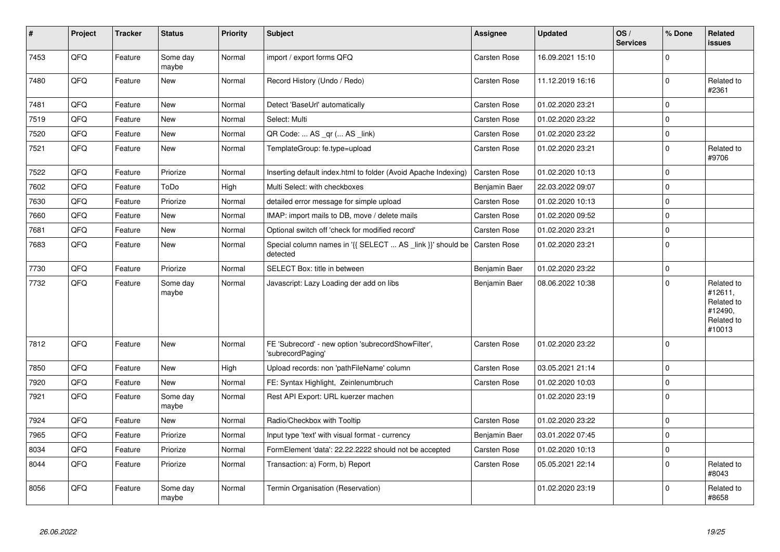| $\sharp$ | Project | <b>Tracker</b> | <b>Status</b>     | <b>Priority</b> | <b>Subject</b>                                                          | Assignee            | <b>Updated</b>   | OS/<br><b>Services</b> | % Done       | Related<br>issues                                                      |
|----------|---------|----------------|-------------------|-----------------|-------------------------------------------------------------------------|---------------------|------------------|------------------------|--------------|------------------------------------------------------------------------|
| 7453     | QFQ     | Feature        | Some day<br>maybe | Normal          | import / export forms QFQ                                               | Carsten Rose        | 16.09.2021 15:10 |                        | $\Omega$     |                                                                        |
| 7480     | QFQ     | Feature        | New               | Normal          | Record History (Undo / Redo)                                            | Carsten Rose        | 11.12.2019 16:16 |                        | $\Omega$     | Related to<br>#2361                                                    |
| 7481     | QFQ     | Feature        | <b>New</b>        | Normal          | Detect 'BaseUrl' automatically                                          | Carsten Rose        | 01.02.2020 23:21 |                        | $\mathbf 0$  |                                                                        |
| 7519     | QFQ     | Feature        | <b>New</b>        | Normal          | Select: Multi                                                           | Carsten Rose        | 01.02.2020 23:22 |                        | $\Omega$     |                                                                        |
| 7520     | QFQ     | Feature        | New               | Normal          | QR Code:  AS _qr ( AS _link)                                            | Carsten Rose        | 01.02.2020 23:22 |                        | $\mathbf 0$  |                                                                        |
| 7521     | QFQ     | Feature        | New               | Normal          | TemplateGroup: fe.type=upload                                           | Carsten Rose        | 01.02.2020 23:21 |                        | $\Omega$     | Related to<br>#9706                                                    |
| 7522     | QFQ     | Feature        | Priorize          | Normal          | Inserting default index.html to folder (Avoid Apache Indexing)          | Carsten Rose        | 01.02.2020 10:13 |                        | $\Omega$     |                                                                        |
| 7602     | QFQ     | Feature        | ToDo              | High            | Multi Select: with checkboxes                                           | Benjamin Baer       | 22.03.2022 09:07 |                        | $\Omega$     |                                                                        |
| 7630     | QFQ     | Feature        | Priorize          | Normal          | detailed error message for simple upload                                | Carsten Rose        | 01.02.2020 10:13 |                        | $\Omega$     |                                                                        |
| 7660     | QFQ     | Feature        | New               | Normal          | IMAP: import mails to DB, move / delete mails                           | Carsten Rose        | 01.02.2020 09:52 |                        | $\mathbf 0$  |                                                                        |
| 7681     | QFQ     | Feature        | <b>New</b>        | Normal          | Optional switch off 'check for modified record'                         | Carsten Rose        | 01.02.2020 23:21 |                        | $\Omega$     |                                                                        |
| 7683     | QFQ     | Feature        | New               | Normal          | Special column names in '{{ SELECT  AS link }}' should be<br>detected   | <b>Carsten Rose</b> | 01.02.2020 23:21 |                        | $\Omega$     |                                                                        |
| 7730     | QFQ     | Feature        | Priorize          | Normal          | SELECT Box: title in between                                            | Benjamin Baer       | 01.02.2020 23:22 |                        | $\mathbf 0$  |                                                                        |
| 7732     | QFQ     | Feature        | Some day<br>maybe | Normal          | Javascript: Lazy Loading der add on libs                                | Benjamin Baer       | 08.06.2022 10:38 |                        | $\Omega$     | Related to<br>#12611,<br>Related to<br>#12490,<br>Related to<br>#10013 |
| 7812     | QFQ     | Feature        | <b>New</b>        | Normal          | FE 'Subrecord' - new option 'subrecordShowFilter',<br>'subrecordPaging' | Carsten Rose        | 01.02.2020 23:22 |                        | $\Omega$     |                                                                        |
| 7850     | QFQ     | Feature        | <b>New</b>        | High            | Upload records: non 'pathFileName' column                               | Carsten Rose        | 03.05.2021 21:14 |                        | $\Omega$     |                                                                        |
| 7920     | QFQ     | Feature        | <b>New</b>        | Normal          | FE: Syntax Highlight, Zeinlenumbruch                                    | Carsten Rose        | 01.02.2020 10:03 |                        | $\mathbf 0$  |                                                                        |
| 7921     | QFQ     | Feature        | Some day<br>maybe | Normal          | Rest API Export: URL kuerzer machen                                     |                     | 01.02.2020 23:19 |                        | $\Omega$     |                                                                        |
| 7924     | QFQ     | Feature        | <b>New</b>        | Normal          | Radio/Checkbox with Tooltip                                             | <b>Carsten Rose</b> | 01.02.2020 23:22 |                        | $\Omega$     |                                                                        |
| 7965     | QFQ     | Feature        | Priorize          | Normal          | Input type 'text' with visual format - currency                         | Benjamin Baer       | 03.01.2022 07:45 |                        | $\mathbf{0}$ |                                                                        |
| 8034     | QFQ     | Feature        | Priorize          | Normal          | FormElement 'data': 22.22.2222 should not be accepted                   | Carsten Rose        | 01.02.2020 10:13 |                        | $\Omega$     |                                                                        |
| 8044     | QFQ     | Feature        | Priorize          | Normal          | Transaction: a) Form, b) Report                                         | Carsten Rose        | 05.05.2021 22:14 |                        | $\Omega$     | Related to<br>#8043                                                    |
| 8056     | QFQ     | Feature        | Some day<br>maybe | Normal          | Termin Organisation (Reservation)                                       |                     | 01.02.2020 23:19 |                        | <sup>0</sup> | Related to<br>#8658                                                    |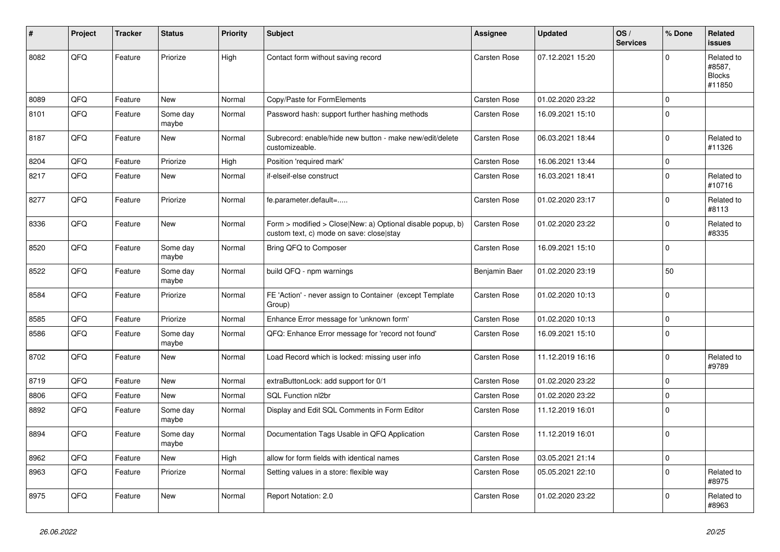| #    | Project | <b>Tracker</b> | <b>Status</b>     | <b>Priority</b> | <b>Subject</b>                                                                                         | Assignee            | <b>Updated</b>   | OS/<br><b>Services</b> | % Done       | Related<br>issues                               |
|------|---------|----------------|-------------------|-----------------|--------------------------------------------------------------------------------------------------------|---------------------|------------------|------------------------|--------------|-------------------------------------------------|
| 8082 | QFQ     | Feature        | Priorize          | High            | Contact form without saving record                                                                     | <b>Carsten Rose</b> | 07.12.2021 15:20 |                        | $\Omega$     | Related to<br>#8587,<br><b>Blocks</b><br>#11850 |
| 8089 | QFQ     | Feature        | <b>New</b>        | Normal          | Copy/Paste for FormElements                                                                            | <b>Carsten Rose</b> | 01.02.2020 23:22 |                        | $\Omega$     |                                                 |
| 8101 | QFQ     | Feature        | Some day<br>maybe | Normal          | Password hash: support further hashing methods                                                         | Carsten Rose        | 16.09.2021 15:10 |                        | $\Omega$     |                                                 |
| 8187 | QFQ     | Feature        | <b>New</b>        | Normal          | Subrecord: enable/hide new button - make new/edit/delete<br>customizeable.                             | <b>Carsten Rose</b> | 06.03.2021 18:44 |                        | $\Omega$     | Related to<br>#11326                            |
| 8204 | QFQ     | Feature        | Priorize          | High            | Position 'required mark'                                                                               | Carsten Rose        | 16.06.2021 13:44 |                        | $\mathbf{0}$ |                                                 |
| 8217 | QFQ     | Feature        | <b>New</b>        | Normal          | if-elseif-else construct                                                                               | Carsten Rose        | 16.03.2021 18:41 |                        | $\Omega$     | Related to<br>#10716                            |
| 8277 | QFQ     | Feature        | Priorize          | Normal          | fe.parameter.default=                                                                                  | Carsten Rose        | 01.02.2020 23:17 |                        | $\Omega$     | Related to<br>#8113                             |
| 8336 | QFQ     | Feature        | <b>New</b>        | Normal          | Form > modified > Close New: a) Optional disable popup, b)<br>custom text, c) mode on save: close stay | Carsten Rose        | 01.02.2020 23:22 |                        | 0            | Related to<br>#8335                             |
| 8520 | QFQ     | Feature        | Some day<br>maybe | Normal          | Bring QFQ to Composer                                                                                  | Carsten Rose        | 16.09.2021 15:10 |                        | $\Omega$     |                                                 |
| 8522 | QFQ     | Feature        | Some day<br>maybe | Normal          | build QFQ - npm warnings                                                                               | Benjamin Baer       | 01.02.2020 23:19 |                        | 50           |                                                 |
| 8584 | QFQ     | Feature        | Priorize          | Normal          | FE 'Action' - never assign to Container (except Template<br>Group)                                     | Carsten Rose        | 01.02.2020 10:13 |                        | $\Omega$     |                                                 |
| 8585 | QFQ     | Feature        | Priorize          | Normal          | Enhance Error message for 'unknown form'                                                               | Carsten Rose        | 01.02.2020 10:13 |                        | $\mathbf{0}$ |                                                 |
| 8586 | QFQ     | Feature        | Some day<br>maybe | Normal          | QFQ: Enhance Error message for 'record not found'                                                      | Carsten Rose        | 16.09.2021 15:10 |                        | $\mathbf{0}$ |                                                 |
| 8702 | QFQ     | Feature        | <b>New</b>        | Normal          | Load Record which is locked: missing user info                                                         | Carsten Rose        | 11.12.2019 16:16 |                        | $\Omega$     | Related to<br>#9789                             |
| 8719 | QFQ     | Feature        | New               | Normal          | extraButtonLock: add support for 0/1                                                                   | <b>Carsten Rose</b> | 01.02.2020 23:22 |                        | $\Omega$     |                                                 |
| 8806 | QFQ     | Feature        | <b>New</b>        | Normal          | SQL Function nl2br                                                                                     | Carsten Rose        | 01.02.2020 23:22 |                        | $\Omega$     |                                                 |
| 8892 | QFQ     | Feature        | Some day<br>maybe | Normal          | Display and Edit SQL Comments in Form Editor                                                           | Carsten Rose        | 11.12.2019 16:01 |                        | $\Omega$     |                                                 |
| 8894 | QFQ     | Feature        | Some day<br>maybe | Normal          | Documentation Tags Usable in QFQ Application                                                           | Carsten Rose        | 11.12.2019 16:01 |                        | $\Omega$     |                                                 |
| 8962 | QFQ     | Feature        | <b>New</b>        | High            | allow for form fields with identical names                                                             | <b>Carsten Rose</b> | 03.05.2021 21:14 |                        | $\mathbf{0}$ |                                                 |
| 8963 | QFQ     | Feature        | Priorize          | Normal          | Setting values in a store: flexible way                                                                | Carsten Rose        | 05.05.2021 22:10 |                        | $\Omega$     | Related to<br>#8975                             |
| 8975 | QFQ     | Feature        | <b>New</b>        | Normal          | Report Notation: 2.0                                                                                   | Carsten Rose        | 01.02.2020 23:22 |                        | $\Omega$     | Related to<br>#8963                             |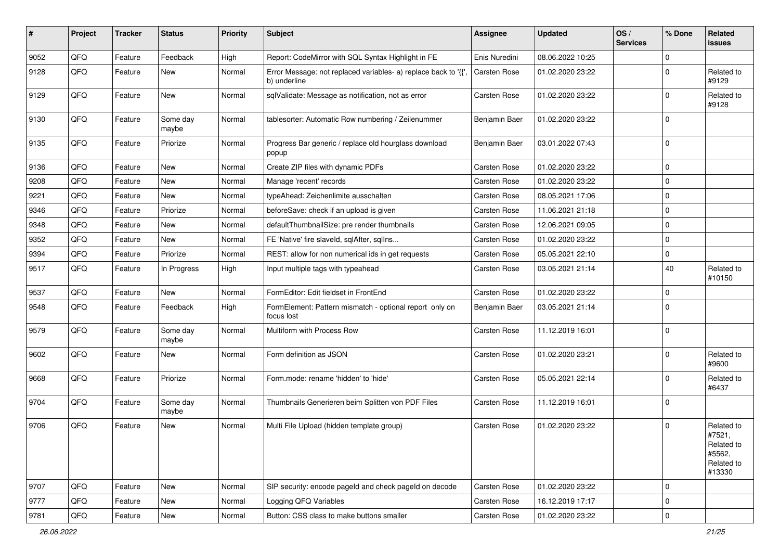| #    | Project | <b>Tracker</b> | <b>Status</b>     | <b>Priority</b> | Subject                                                                       | <b>Assignee</b>     | <b>Updated</b>   | OS/<br><b>Services</b> | % Done       | Related<br>issues                                                    |
|------|---------|----------------|-------------------|-----------------|-------------------------------------------------------------------------------|---------------------|------------------|------------------------|--------------|----------------------------------------------------------------------|
| 9052 | QFQ     | Feature        | Feedback          | High            | Report: CodeMirror with SQL Syntax Highlight in FE                            | Enis Nuredini       | 08.06.2022 10:25 |                        | $\Omega$     |                                                                      |
| 9128 | QFQ     | Feature        | New               | Normal          | Error Message: not replaced variables- a) replace back to '{'<br>b) underline | <b>Carsten Rose</b> | 01.02.2020 23:22 |                        | $\Omega$     | Related to<br>#9129                                                  |
| 9129 | QFQ     | Feature        | <b>New</b>        | Normal          | sqlValidate: Message as notification, not as error                            | Carsten Rose        | 01.02.2020 23:22 |                        | $\Omega$     | Related to<br>#9128                                                  |
| 9130 | QFQ     | Feature        | Some day<br>maybe | Normal          | tablesorter: Automatic Row numbering / Zeilenummer                            | Benjamin Baer       | 01.02.2020 23:22 |                        | $\Omega$     |                                                                      |
| 9135 | QFQ     | Feature        | Priorize          | Normal          | Progress Bar generic / replace old hourglass download<br>popup                | Benjamin Baer       | 03.01.2022 07:43 |                        | $\Omega$     |                                                                      |
| 9136 | QFQ     | Feature        | <b>New</b>        | Normal          | Create ZIP files with dynamic PDFs                                            | <b>Carsten Rose</b> | 01.02.2020 23:22 |                        | $\mathbf{0}$ |                                                                      |
| 9208 | QFQ     | Feature        | New               | Normal          | Manage 'recent' records                                                       | <b>Carsten Rose</b> | 01.02.2020 23:22 |                        | $\mathbf 0$  |                                                                      |
| 9221 | QFQ     | Feature        | <b>New</b>        | Normal          | typeAhead: Zeichenlimite ausschalten                                          | <b>Carsten Rose</b> | 08.05.2021 17:06 |                        | $\mathbf 0$  |                                                                      |
| 9346 | QFQ     | Feature        | Priorize          | Normal          | beforeSave: check if an upload is given                                       | <b>Carsten Rose</b> | 11.06.2021 21:18 |                        | $\mathbf 0$  |                                                                      |
| 9348 | QFQ     | Feature        | <b>New</b>        | Normal          | defaultThumbnailSize: pre render thumbnails                                   | <b>Carsten Rose</b> | 12.06.2021 09:05 |                        | $\Omega$     |                                                                      |
| 9352 | QFQ     | Feature        | New               | Normal          | FE 'Native' fire slaveld, sqlAfter, sqlIns                                    | <b>Carsten Rose</b> | 01.02.2020 23:22 |                        | $\mathbf 0$  |                                                                      |
| 9394 | QFQ     | Feature        | Priorize          | Normal          | REST: allow for non numerical ids in get requests                             | <b>Carsten Rose</b> | 05.05.2021 22:10 |                        | $\Omega$     |                                                                      |
| 9517 | QFQ     | Feature        | In Progress       | High            | Input multiple tags with typeahead                                            | Carsten Rose        | 03.05.2021 21:14 |                        | 40           | Related to<br>#10150                                                 |
| 9537 | QFQ     | Feature        | New               | Normal          | FormEditor: Edit fieldset in FrontEnd                                         | <b>Carsten Rose</b> | 01.02.2020 23:22 |                        | $\mathbf 0$  |                                                                      |
| 9548 | QFQ     | Feature        | Feedback          | High            | FormElement: Pattern mismatch - optional report only on<br>focus lost         | Benjamin Baer       | 03.05.2021 21:14 |                        | $\Omega$     |                                                                      |
| 9579 | QFQ     | Feature        | Some day<br>maybe | Normal          | Multiform with Process Row                                                    | <b>Carsten Rose</b> | 11.12.2019 16:01 |                        | $\Omega$     |                                                                      |
| 9602 | QFQ     | Feature        | New               | Normal          | Form definition as JSON                                                       | <b>Carsten Rose</b> | 01.02.2020 23:21 |                        | $\Omega$     | Related to<br>#9600                                                  |
| 9668 | QFQ     | Feature        | Priorize          | Normal          | Form.mode: rename 'hidden' to 'hide'                                          | <b>Carsten Rose</b> | 05.05.2021 22:14 |                        | $\Omega$     | Related to<br>#6437                                                  |
| 9704 | QFQ     | Feature        | Some day<br>maybe | Normal          | Thumbnails Generieren beim Splitten von PDF Files                             | <b>Carsten Rose</b> | 11.12.2019 16:01 |                        | $\mathbf 0$  |                                                                      |
| 9706 | QFQ     | Feature        | New               | Normal          | Multi File Upload (hidden template group)                                     | <b>Carsten Rose</b> | 01.02.2020 23:22 |                        | $\Omega$     | Related to<br>#7521,<br>Related to<br>#5562,<br>Related to<br>#13330 |
| 9707 | QFQ     | Feature        | New               | Normal          | SIP security: encode pageld and check pageld on decode                        | Carsten Rose        | 01.02.2020 23:22 |                        | $\mathbf 0$  |                                                                      |
| 9777 | QFQ     | Feature        | New               | Normal          | Logging QFQ Variables                                                         | Carsten Rose        | 16.12.2019 17:17 |                        | $\mathbf 0$  |                                                                      |
| 9781 | QFG     | Feature        | New               | Normal          | Button: CSS class to make buttons smaller                                     | Carsten Rose        | 01.02.2020 23:22 |                        | $\mathbf 0$  |                                                                      |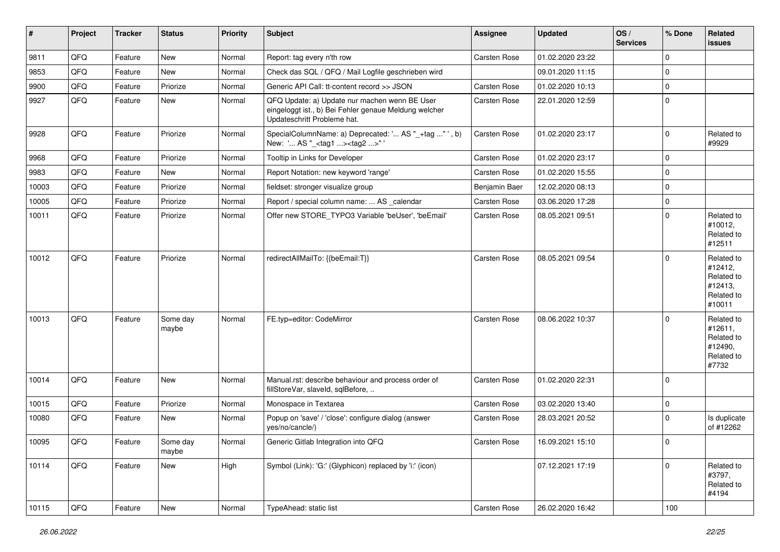| #     | Project | <b>Tracker</b> | <b>Status</b>     | <b>Priority</b> | Subject                                                                                                                               | <b>Assignee</b>     | <b>Updated</b>   | OS/<br><b>Services</b> | % Done         | Related<br><b>issues</b>                                               |
|-------|---------|----------------|-------------------|-----------------|---------------------------------------------------------------------------------------------------------------------------------------|---------------------|------------------|------------------------|----------------|------------------------------------------------------------------------|
| 9811  | QFQ     | Feature        | New               | Normal          | Report: tag every n'th row                                                                                                            | Carsten Rose        | 01.02.2020 23:22 |                        | $\Omega$       |                                                                        |
| 9853  | QFQ     | Feature        | New               | Normal          | Check das SQL / QFQ / Mail Logfile geschrieben wird                                                                                   |                     | 09.01.2020 11:15 |                        | $\mathbf 0$    |                                                                        |
| 9900  | QFQ     | Feature        | Priorize          | Normal          | Generic API Call: tt-content record >> JSON                                                                                           | <b>Carsten Rose</b> | 01.02.2020 10:13 |                        | $\mathbf 0$    |                                                                        |
| 9927  | QFQ     | Feature        | New               | Normal          | QFQ Update: a) Update nur machen wenn BE User<br>eingeloggt ist., b) Bei Fehler genaue Meldung welcher<br>Updateschritt Probleme hat. | Carsten Rose        | 22.01.2020 12:59 |                        | $\mathbf 0$    |                                                                        |
| 9928  | QFQ     | Feature        | Priorize          | Normal          | SpecialColumnName: a) Deprecated: ' AS "_+tag " ', b)<br>New: ' AS "_ <tag1><tag2>"'</tag2></tag1>                                    | <b>Carsten Rose</b> | 01.02.2020 23:17 |                        | $\mathbf 0$    | Related to<br>#9929                                                    |
| 9968  | QFQ     | Feature        | Priorize          | Normal          | Tooltip in Links for Developer                                                                                                        | <b>Carsten Rose</b> | 01.02.2020 23:17 |                        | $\mathbf 0$    |                                                                        |
| 9983  | QFQ     | Feature        | New               | Normal          | Report Notation: new keyword 'range'                                                                                                  | <b>Carsten Rose</b> | 01.02.2020 15:55 |                        | $\mathbf 0$    |                                                                        |
| 10003 | QFQ     | Feature        | Priorize          | Normal          | fieldset: stronger visualize group                                                                                                    | Benjamin Baer       | 12.02.2020 08:13 |                        | $\mathbf 0$    |                                                                        |
| 10005 | QFQ     | Feature        | Priorize          | Normal          | Report / special column name:  AS _calendar                                                                                           | Carsten Rose        | 03.06.2020 17:28 |                        | $\mathbf 0$    |                                                                        |
| 10011 | QFQ     | Feature        | Priorize          | Normal          | Offer new STORE_TYPO3 Variable 'beUser', 'beEmail'                                                                                    | <b>Carsten Rose</b> | 08.05.2021 09:51 |                        | $\mathbf 0$    | Related to<br>#10012,<br>Related to<br>#12511                          |
| 10012 | QFQ     | Feature        | Priorize          | Normal          | redirectAllMailTo: {{beEmail:T}}                                                                                                      | <b>Carsten Rose</b> | 08.05.2021 09:54 |                        | $\Omega$       | Related to<br>#12412,<br>Related to<br>#12413,<br>Related to<br>#10011 |
| 10013 | QFQ     | Feature        | Some day<br>maybe | Normal          | FE.typ=editor: CodeMirror                                                                                                             | <b>Carsten Rose</b> | 08.06.2022 10:37 |                        | $\Omega$       | Related to<br>#12611,<br>Related to<br>#12490,<br>Related to<br>#7732  |
| 10014 | QFQ     | Feature        | <b>New</b>        | Normal          | Manual.rst: describe behaviour and process order of<br>fillStoreVar, slaveId, sqlBefore,                                              | <b>Carsten Rose</b> | 01.02.2020 22:31 |                        | $\mathbf 0$    |                                                                        |
| 10015 | QFQ     | Feature        | Priorize          | Normal          | Monospace in Textarea                                                                                                                 | <b>Carsten Rose</b> | 03.02.2020 13:40 |                        | $\overline{0}$ |                                                                        |
| 10080 | QFQ     | Feature        | <b>New</b>        | Normal          | Popup on 'save' / 'close': configure dialog (answer<br>yes/no/cancle/)                                                                | Carsten Rose        | 28.03.2021 20:52 |                        | $\Omega$       | Is duplicate<br>of #12262                                              |
| 10095 | QFQ     | Feature        | Some day<br>maybe | Normal          | Generic Gitlab Integration into QFQ                                                                                                   | Carsten Rose        | 16.09.2021 15:10 |                        | $\overline{0}$ |                                                                        |
| 10114 | QFQ     | Feature        | New               | High            | Symbol (Link): 'G:' (Glyphicon) replaced by 'i:' (icon)                                                                               |                     | 07.12.2021 17:19 |                        | $\mathbf 0$    | Related to<br>#3797,<br>Related to<br>#4194                            |
| 10115 | QFQ     | Feature        | New               | Normal          | TypeAhead: static list                                                                                                                | Carsten Rose        | 26.02.2020 16:42 |                        | 100            |                                                                        |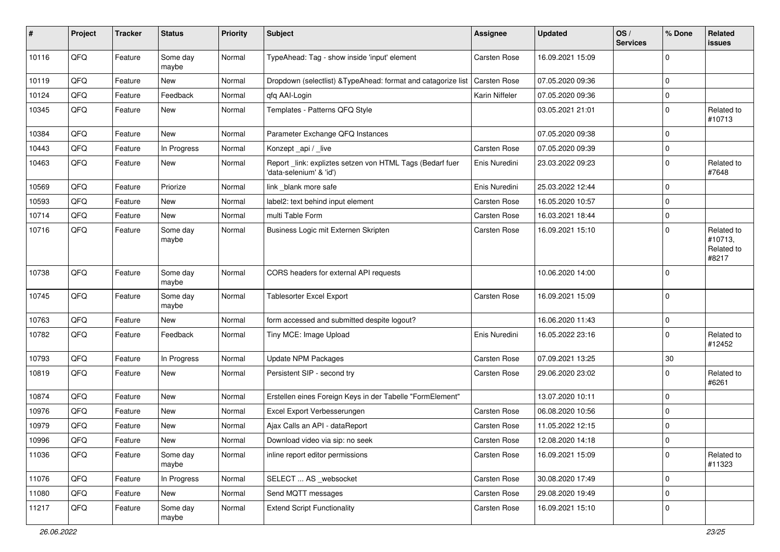| $\pmb{\#}$ | Project | <b>Tracker</b> | <b>Status</b>     | <b>Priority</b> | Subject                                                                             | <b>Assignee</b>     | <b>Updated</b>   | OS/<br><b>Services</b> | % Done       | Related<br>issues                            |
|------------|---------|----------------|-------------------|-----------------|-------------------------------------------------------------------------------------|---------------------|------------------|------------------------|--------------|----------------------------------------------|
| 10116      | QFQ     | Feature        | Some day<br>maybe | Normal          | TypeAhead: Tag - show inside 'input' element                                        | <b>Carsten Rose</b> | 16.09.2021 15:09 |                        | $\mathbf 0$  |                                              |
| 10119      | QFQ     | Feature        | New               | Normal          | Dropdown (selectlist) & TypeAhead: format and catagorize list                       | Carsten Rose        | 07.05.2020 09:36 |                        | $\mathbf 0$  |                                              |
| 10124      | QFQ     | Feature        | Feedback          | Normal          | qfq AAI-Login                                                                       | Karin Niffeler      | 07.05.2020 09:36 |                        | 0            |                                              |
| 10345      | QFQ     | Feature        | New               | Normal          | Templates - Patterns QFQ Style                                                      |                     | 03.05.2021 21:01 |                        | $\mathbf 0$  | Related to<br>#10713                         |
| 10384      | QFQ     | Feature        | <b>New</b>        | Normal          | Parameter Exchange QFQ Instances                                                    |                     | 07.05.2020 09:38 |                        | $\mathbf 0$  |                                              |
| 10443      | QFQ     | Feature        | In Progress       | Normal          | Konzept_api / _live                                                                 | Carsten Rose        | 07.05.2020 09:39 |                        | 0            |                                              |
| 10463      | QFQ     | Feature        | New               | Normal          | Report_link: expliztes setzen von HTML Tags (Bedarf fuer<br>'data-selenium' & 'id') | Enis Nuredini       | 23.03.2022 09:23 |                        | $\mathbf 0$  | Related to<br>#7648                          |
| 10569      | QFQ     | Feature        | Priorize          | Normal          | link _blank more safe                                                               | Enis Nuredini       | 25.03.2022 12:44 |                        | $\mathbf 0$  |                                              |
| 10593      | QFQ     | Feature        | <b>New</b>        | Normal          | label2: text behind input element                                                   | <b>Carsten Rose</b> | 16.05.2020 10:57 |                        | $\mathbf 0$  |                                              |
| 10714      | QFQ     | Feature        | New               | Normal          | multi Table Form                                                                    | <b>Carsten Rose</b> | 16.03.2021 18:44 |                        | 0            |                                              |
| 10716      | QFQ     | Feature        | Some day<br>maybe | Normal          | Business Logic mit Externen Skripten                                                | <b>Carsten Rose</b> | 16.09.2021 15:10 |                        | 0            | Related to<br>#10713,<br>Related to<br>#8217 |
| 10738      | QFQ     | Feature        | Some day<br>maybe | Normal          | CORS headers for external API requests                                              |                     | 10.06.2020 14:00 |                        | $\mathbf 0$  |                                              |
| 10745      | QFQ     | Feature        | Some day<br>maybe | Normal          | <b>Tablesorter Excel Export</b>                                                     | Carsten Rose        | 16.09.2021 15:09 |                        | $\mathbf 0$  |                                              |
| 10763      | QFQ     | Feature        | New               | Normal          | form accessed and submitted despite logout?                                         |                     | 16.06.2020 11:43 |                        | $\mathbf 0$  |                                              |
| 10782      | QFQ     | Feature        | Feedback          | Normal          | Tiny MCE: Image Upload                                                              | Enis Nuredini       | 16.05.2022 23:16 |                        | $\mathbf{0}$ | Related to<br>#12452                         |
| 10793      | QFQ     | Feature        | In Progress       | Normal          | <b>Update NPM Packages</b>                                                          | Carsten Rose        | 07.09.2021 13:25 |                        | 30           |                                              |
| 10819      | QFQ     | Feature        | <b>New</b>        | Normal          | Persistent SIP - second try                                                         | Carsten Rose        | 29.06.2020 23:02 |                        | 0            | Related to<br>#6261                          |
| 10874      | QFQ     | Feature        | New               | Normal          | Erstellen eines Foreign Keys in der Tabelle "FormElement"                           |                     | 13.07.2020 10:11 |                        | 0            |                                              |
| 10976      | QFQ     | Feature        | New               | Normal          | Excel Export Verbesserungen                                                         | <b>Carsten Rose</b> | 06.08.2020 10:56 |                        | 0            |                                              |
| 10979      | QFQ     | Feature        | New               | Normal          | Ajax Calls an API - dataReport                                                      | Carsten Rose        | 11.05.2022 12:15 |                        | 0            |                                              |
| 10996      | QFG     | Feature        | New               | Normal          | Download video via sip: no seek                                                     | Carsten Rose        | 12.08.2020 14:18 |                        | 0            |                                              |
| 11036      | QFQ     | Feature        | Some day<br>maybe | Normal          | inline report editor permissions                                                    | Carsten Rose        | 16.09.2021 15:09 |                        | 0            | Related to<br>#11323                         |
| 11076      | QFQ     | Feature        | In Progress       | Normal          | SELECT  AS _websocket                                                               | Carsten Rose        | 30.08.2020 17:49 |                        | 0            |                                              |
| 11080      | QFQ     | Feature        | New               | Normal          | Send MQTT messages                                                                  | Carsten Rose        | 29.08.2020 19:49 |                        | 0            |                                              |
| 11217      | QFQ     | Feature        | Some day<br>maybe | Normal          | <b>Extend Script Functionality</b>                                                  | Carsten Rose        | 16.09.2021 15:10 |                        | 0            |                                              |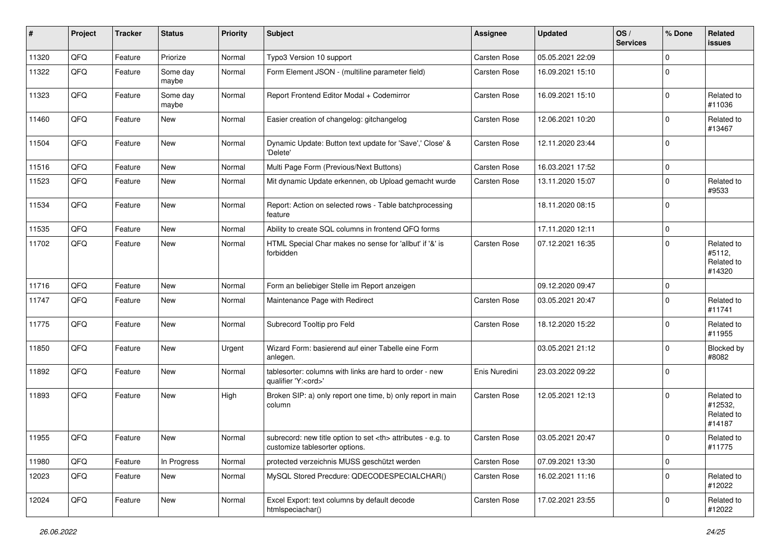| $\sharp$ | Project | <b>Tracker</b> | <b>Status</b>     | <b>Priority</b> | <b>Subject</b>                                                                                         | <b>Assignee</b>     | <b>Updated</b>   | OS/<br><b>Services</b> | % Done      | Related<br>issues                             |
|----------|---------|----------------|-------------------|-----------------|--------------------------------------------------------------------------------------------------------|---------------------|------------------|------------------------|-------------|-----------------------------------------------|
| 11320    | QFQ     | Feature        | Priorize          | Normal          | Typo3 Version 10 support                                                                               | <b>Carsten Rose</b> | 05.05.2021 22:09 |                        | $\Omega$    |                                               |
| 11322    | QFQ     | Feature        | Some day<br>maybe | Normal          | Form Element JSON - (multiline parameter field)                                                        | Carsten Rose        | 16.09.2021 15:10 |                        | 0           |                                               |
| 11323    | QFQ     | Feature        | Some day<br>maybe | Normal          | Report Frontend Editor Modal + Codemirror                                                              | Carsten Rose        | 16.09.2021 15:10 |                        | 0           | Related to<br>#11036                          |
| 11460    | QFQ     | Feature        | <b>New</b>        | Normal          | Easier creation of changelog: gitchangelog                                                             | <b>Carsten Rose</b> | 12.06.2021 10:20 |                        | $\Omega$    | Related to<br>#13467                          |
| 11504    | QFQ     | Feature        | <b>New</b>        | Normal          | Dynamic Update: Button text update for 'Save',' Close' &<br>'Delete'                                   | Carsten Rose        | 12.11.2020 23:44 |                        | $\Omega$    |                                               |
| 11516    | QFQ     | Feature        | <b>New</b>        | Normal          | Multi Page Form (Previous/Next Buttons)                                                                | <b>Carsten Rose</b> | 16.03.2021 17:52 |                        | $\Omega$    |                                               |
| 11523    | QFQ     | Feature        | New               | Normal          | Mit dynamic Update erkennen, ob Upload gemacht wurde                                                   | Carsten Rose        | 13.11.2020 15:07 |                        | $\Omega$    | Related to<br>#9533                           |
| 11534    | QFQ     | Feature        | <b>New</b>        | Normal          | Report: Action on selected rows - Table batchprocessing<br>feature                                     |                     | 18.11.2020 08:15 |                        | 0           |                                               |
| 11535    | QFQ     | Feature        | <b>New</b>        | Normal          | Ability to create SQL columns in frontend QFQ forms                                                    |                     | 17.11.2020 12:11 |                        | $\mathbf 0$ |                                               |
| 11702    | QFQ     | Feature        | New               | Normal          | HTML Special Char makes no sense for 'allbut' if '&' is<br>forbidden                                   | Carsten Rose        | 07.12.2021 16:35 |                        | 0           | Related to<br>#5112,<br>Related to<br>#14320  |
| 11716    | QFQ     | Feature        | <b>New</b>        | Normal          | Form an beliebiger Stelle im Report anzeigen                                                           |                     | 09.12.2020 09:47 |                        | $\Omega$    |                                               |
| 11747    | QFQ     | Feature        | New               | Normal          | Maintenance Page with Redirect                                                                         | Carsten Rose        | 03.05.2021 20:47 |                        | $\Omega$    | Related to<br>#11741                          |
| 11775    | QFQ     | Feature        | <b>New</b>        | Normal          | Subrecord Tooltip pro Feld                                                                             | <b>Carsten Rose</b> | 18.12.2020 15:22 |                        | $\Omega$    | Related to<br>#11955                          |
| 11850    | QFQ     | Feature        | New               | Urgent          | Wizard Form: basierend auf einer Tabelle eine Form<br>anlegen.                                         |                     | 03.05.2021 21:12 |                        | $\Omega$    | Blocked by<br>#8082                           |
| 11892    | QFQ     | Feature        | <b>New</b>        | Normal          | tablesorter: columns with links are hard to order - new<br>qualifier 'Y: <ord>'</ord>                  | Enis Nuredini       | 23.03.2022 09:22 |                        | $\Omega$    |                                               |
| 11893    | QFQ     | Feature        | <b>New</b>        | High            | Broken SIP: a) only report one time, b) only report in main<br>column                                  | Carsten Rose        | 12.05.2021 12:13 |                        | $\Omega$    | Related to<br>#12532,<br>Related to<br>#14187 |
| 11955    | QFQ     | Feature        | New               | Normal          | subrecord: new title option to set $\langle$ th attributes - e.g. to<br>customize tablesorter options. | <b>Carsten Rose</b> | 03.05.2021 20:47 |                        | $\Omega$    | Related to<br>#11775                          |
| 11980    | QFQ     | Feature        | In Progress       | Normal          | protected verzeichnis MUSS geschützt werden                                                            | Carsten Rose        | 07.09.2021 13:30 |                        | $\mathbf 0$ |                                               |
| 12023    | QFQ     | Feature        | New               | Normal          | MySQL Stored Precdure: QDECODESPECIALCHAR()                                                            | Carsten Rose        | 16.02.2021 11:16 |                        | $\mathbf 0$ | Related to<br>#12022                          |
| 12024    | QFQ     | Feature        | New               | Normal          | Excel Export: text columns by default decode<br>htmlspeciachar()                                       | Carsten Rose        | 17.02.2021 23:55 |                        | 0           | Related to<br>#12022                          |